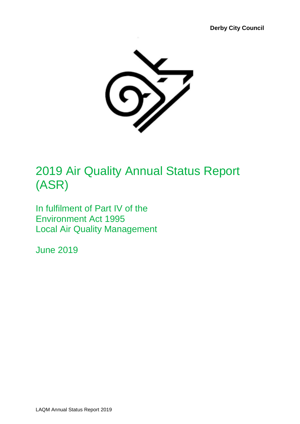

# 2019 Air Quality Annual Status Report (ASR)

In fulfilment of Part IV of the Environment Act 1995 Local Air Quality Management

June 2019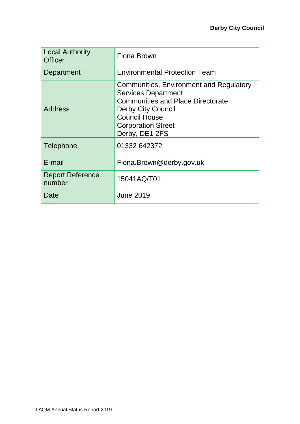| <b>Local Authority</b><br><b>Officer</b> | Fiona Brown                                                                                                                                                                                                           |
|------------------------------------------|-----------------------------------------------------------------------------------------------------------------------------------------------------------------------------------------------------------------------|
| Department                               | <b>Environmental Protection Team</b>                                                                                                                                                                                  |
| <b>Address</b>                           | Communities, Environment and Regulatory<br><b>Services Department</b><br><b>Communities and Place Directorate</b><br><b>Derby City Council</b><br><b>Council House</b><br><b>Corporation Street</b><br>Derby, DE1 2FS |
| Telephone                                | 01332 642372                                                                                                                                                                                                          |
| E-mail                                   | Fiona.Brown@derby.gov.uk                                                                                                                                                                                              |
| <b>Report Reference</b><br>number        | 15041AQ/T01                                                                                                                                                                                                           |
| Date                                     | <b>June 2019</b>                                                                                                                                                                                                      |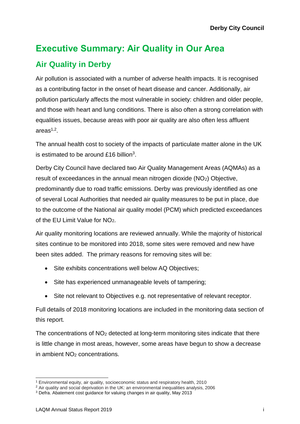# **Executive Summary: Air Quality in Our Area Air Quality in Derby**

Air pollution is associated with a number of adverse health impacts. It is recognised as a contributing factor in the onset of heart disease and cancer. Additionally, air pollution particularly affects the most vulnerable in society: children and older people, and those with heart and lung conditions. There is also often a strong correlation with equalities issues, because areas with poor air quality are also often less affluent areas $1,2$ .

The annual health cost to society of the impacts of particulate matter alone in the UK is estimated to be around £16 billion<sup>3</sup>.

Derby City Council have declared two Air Quality Management Areas (AQMAs) as a result of exceedances in the annual mean nitrogen dioxide (NO2) Objective, predominantly due to road traffic emissions. Derby was previously identified as one of several Local Authorities that needed air quality measures to be put in place, due to the outcome of the National air quality model (PCM) which predicted exceedances of the EU Limit Value for NO2.

Air quality monitoring locations are reviewed annually. While the majority of historical sites continue to be monitored into 2018, some sites were removed and new have been sites added. The primary reasons for removing sites will be:

- Site exhibits concentrations well below AQ Objectives;
- Site has experienced unmanageable levels of tampering;
- Site not relevant to Objectives e.g. not representative of relevant receptor.

Full details of 2018 monitoring locations are included in the monitoring data section of this report.

The concentrations of  $NO<sub>2</sub>$  detected at long-term monitoring sites indicate that there is little change in most areas, however, some areas have begun to show a decrease in ambient NO<sup>2</sup> concentrations.

l <sup>1</sup> Environmental equity, air quality, socioeconomic status and respiratory health, 2010

<sup>2</sup> Air quality and social deprivation in the UK: an environmental inequalities analysis, 2006

<sup>3</sup> Defra. Abatement cost guidance for valuing changes in air quality, May 2013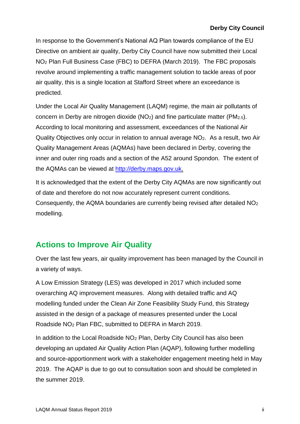In response to the Government's National AQ Plan towards compliance of the EU Directive on ambient air quality, Derby City Council have now submitted their Local NO<sup>2</sup> Plan Full Business Case (FBC) to DEFRA (March 2019). The FBC proposals revolve around implementing a traffic management solution to tackle areas of poor air quality, this is a single location at Stafford Street where an exceedance is predicted.

Under the Local Air Quality Management (LAQM) regime, the main air pollutants of concern in Derby are nitrogen dioxide  $(NO<sub>2</sub>)$  and fine particulate matter  $(PM<sub>2.5</sub>)$ . According to local monitoring and assessment, exceedances of the National Air Quality Objectives only occur in relation to annual average NO2. As a result, two Air Quality Management Areas (AQMAs) have been declared in Derby, covering the inner and outer ring roads and a section of the A52 around Spondon. The extent of the AQMAs can be viewed at [http://derby.maps.gov.uk.](http://derby.maps.gov.uk/)

It is acknowledged that the extent of the Derby City AQMAs are now significantly out of date and therefore do not now accurately represent current conditions. Consequently, the AQMA boundaries are currently being revised after detailed NO<sup>2</sup> modelling.

## **Actions to Improve Air Quality**

Over the last few years, air quality improvement has been managed by the Council in a variety of ways.

A Low Emission Strategy (LES) was developed in 2017 which included some overarching AQ improvement measures. Along with detailed traffic and AQ modelling funded under the Clean Air Zone Feasibility Study Fund, this Strategy assisted in the design of a package of measures presented under the Local Roadside NO<sup>2</sup> Plan FBC, submitted to DEFRA in March 2019.

In addition to the Local Roadside NO<sub>2</sub> Plan, Derby City Council has also been developing an updated Air Quality Action Plan (AQAP), following further modelling and source-apportionment work with a stakeholder engagement meeting held in May 2019. The AQAP is due to go out to consultation soon and should be completed in the summer 2019.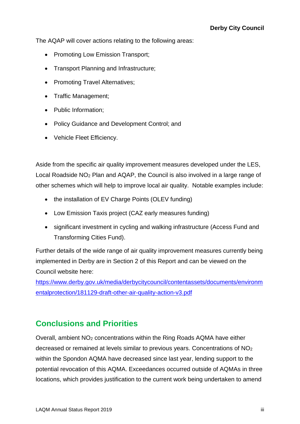The AQAP will cover actions relating to the following areas:

- Promoting Low Emission Transport;
- Transport Planning and Infrastructure;
- Promoting Travel Alternatives:
- Traffic Management;
- Public Information;
- Policy Guidance and Development Control; and
- Vehicle Fleet Efficiency.

Aside from the specific air quality improvement measures developed under the LES, Local Roadside NO<sup>2</sup> Plan and AQAP, the Council is also involved in a large range of other schemes which will help to improve local air quality. Notable examples include:

- the installation of EV Charge Points (OLEV funding)
- Low Emission Taxis project (CAZ early measures funding)
- significant investment in cycling and walking infrastructure (Access Fund and Transforming Cities Fund).

Further details of the wide range of air quality improvement measures currently being implemented in Derby are in Section 2 of this Report and can be viewed on the Council website here:

[https://www.derby.gov.uk/media/derbycitycouncil/contentassets/documents/environm](https://www.derby.gov.uk/media/derbycitycouncil/contentassets/documents/environmentalprotection/181129-draft-other-air-quality-action-v3.pdf) [entalprotection/181129-draft-other-air-quality-action-v3.pdf](https://www.derby.gov.uk/media/derbycitycouncil/contentassets/documents/environmentalprotection/181129-draft-other-air-quality-action-v3.pdf)

### **Conclusions and Priorities**

Overall, ambient NO<sup>2</sup> concentrations within the Ring Roads AQMA have either decreased or remained at levels similar to previous years. Concentrations of NO<sup>2</sup> within the Spondon AQMA have decreased since last year, lending support to the potential revocation of this AQMA. Exceedances occurred outside of AQMAs in three locations, which provides justification to the current work being undertaken to amend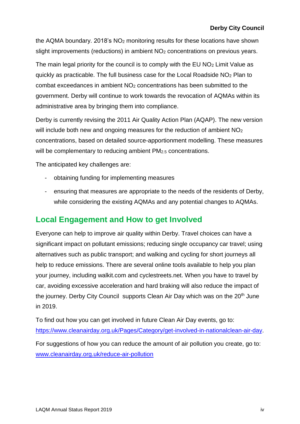the AQMA boundary. 2018's NO<sup>2</sup> monitoring results for these locations have shown slight improvements (reductions) in ambient NO<sub>2</sub> concentrations on previous years.

The main legal priority for the council is to comply with the EU NO<sub>2</sub> Limit Value as quickly as practicable. The full business case for the Local Roadside NO<sup>2</sup> Plan to combat exceedances in ambient NO<sup>2</sup> concentrations has been submitted to the government. Derby will continue to work towards the revocation of AQMAs within its administrative area by bringing them into compliance.

Derby is currently revising the 2011 Air Quality Action Plan (AQAP). The new version will include both new and ongoing measures for the reduction of ambient NO<sub>2</sub> concentrations, based on detailed source-apportionment modelling. These measures will be complementary to reducing ambient PM<sub>2.5</sub> concentrations.

The anticipated key challenges are:

- obtaining funding for implementing measures
- ensuring that measures are appropriate to the needs of the residents of Derby, while considering the existing AQMAs and any potential changes to AQMAs.

## **Local Engagement and How to get Involved**

Everyone can help to improve air quality within Derby. Travel choices can have a significant impact on pollutant emissions; reducing single occupancy car travel; using alternatives such as public transport; and walking and cycling for short journeys all help to reduce emissions. There are several online tools available to help you plan your journey, including walkit.com and cyclestreets.net. When you have to travel by car, avoiding excessive acceleration and hard braking will also reduce the impact of the journey. Derby City Council supports Clean Air Day which was on the 20<sup>th</sup> June in 2019.

To find out how you can get involved in future Clean Air Day events, go to: [https://www.cleanairday.org.uk/Pages/Category/get-involved-in-nationalclean-air-day.](https://www.cleanairday.org.uk/Pages/Category/get-involved-in-nationalclean-air-day) For suggestions of how you can reduce the amount of air pollution you create, go to: [www.cleanairday.org.uk/reduce-air-pollution](http://www.cleanairday.org.uk/reduce-air-pollution)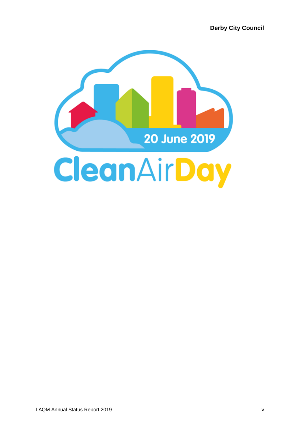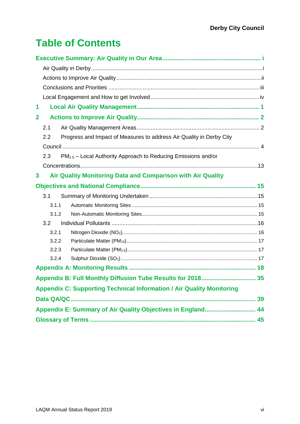# **Table of Contents**

| 1                                                                                |
|----------------------------------------------------------------------------------|
| $\mathbf{2}$                                                                     |
| 2.1                                                                              |
| Progress and Impact of Measures to address Air Quality in Derby City<br>2.2      |
|                                                                                  |
| PM <sub>2.5</sub> - Local Authority Approach to Reducing Emissions and/or<br>2.3 |
|                                                                                  |
| Air Quality Monitoring Data and Comparison with Air Quality<br>3                 |
|                                                                                  |
| 3.1                                                                              |
| 3.1.1                                                                            |
| 3.1.2                                                                            |
| 3.2                                                                              |
| 3.2.1                                                                            |
| 3.2.2                                                                            |
| 3.2.3                                                                            |
| 3.2.4                                                                            |
|                                                                                  |
| Appendix B: Full Monthly Diffusion Tube Results for 2018 35                      |
| <b>Appendix C: Supporting Technical Information / Air Quality Monitoring</b>     |
|                                                                                  |
| Appendix E: Summary of Air Quality Objectives in England 44                      |
|                                                                                  |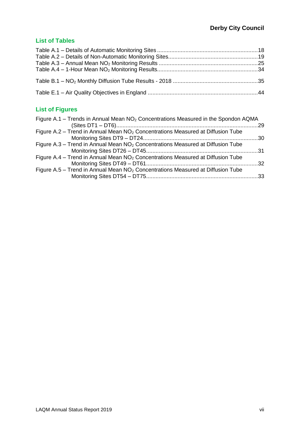### **List of Tables**

## **List of Figures**

| Figure A.1 – Trends in Annual Mean $NO2$ Concentrations Measured in the Spondon AQMA        |  |
|---------------------------------------------------------------------------------------------|--|
| Figure A.2 - Trend in Annual Mean NO <sub>2</sub> Concentrations Measured at Diffusion Tube |  |
| Figure A.3 - Trend in Annual Mean NO <sub>2</sub> Concentrations Measured at Diffusion Tube |  |
| Figure A.4 – Trend in Annual Mean $NO2$ Concentrations Measured at Diffusion Tube           |  |
| Figure A.5 – Trend in Annual Mean $NO2$ Concentrations Measured at Diffusion Tube           |  |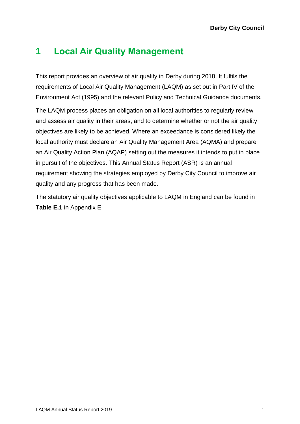## **1 Local Air Quality Management**

This report provides an overview of air quality in Derby during 2018. It fulfils the requirements of Local Air Quality Management (LAQM) as set out in Part IV of the Environment Act (1995) and the relevant Policy and Technical Guidance documents.

The LAQM process places an obligation on all local authorities to regularly review and assess air quality in their areas, and to determine whether or not the air quality objectives are likely to be achieved. Where an exceedance is considered likely the local authority must declare an Air Quality Management Area (AQMA) and prepare an Air Quality Action Plan (AQAP) setting out the measures it intends to put in place in pursuit of the objectives. This Annual Status Report (ASR) is an annual requirement showing the strategies employed by Derby City Council to improve air quality and any progress that has been made.

The statutory air quality objectives applicable to LAQM in England can be found in **[Table E.1](#page-52-1)** in Appendix E.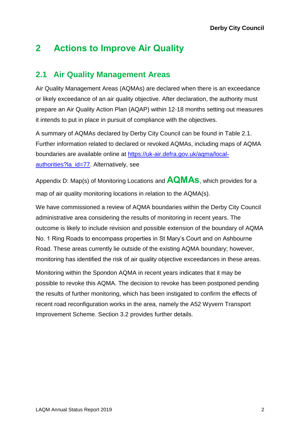## **2 Actions to Improve Air Quality**

## **2.1 Air Quality Management Areas**

Air Quality Management Areas (AQMAs) are declared when there is an exceedance or likely exceedance of an air quality objective. After declaration, the authority must prepare an Air Quality Action Plan (AQAP) within 12-18 months setting out measures it intends to put in place in pursuit of compliance with the objectives.

A summary of AQMAs declared by Derby City Council can be found in [Table 2.1.](#page-11-0) Further information related to declared or revoked AQMAs, including maps of AQMA boundaries are available online at [https://uk-air.defra.gov.uk/aqma/local](https://uk-air.defra.gov.uk/aqma/local-authorities?la_id=77)[authorities?la\\_id=77.](https://uk-air.defra.gov.uk/aqma/local-authorities?la_id=77) Alternatively, see

Appendix D: [Map\(s\) of Monitoring Locations](#page-50-0) and **AQMAs**, which provides for a map of air quality monitoring locations in relation to the AQMA(s).

We have commissioned a review of AQMA boundaries within the Derby City Council administrative area considering the results of monitoring in recent years. The outcome is likely to include revision and possible extension of the boundary of AQMA No. 1 Ring Roads to encompass properties in St Mary's Court and on Ashbourne Road. These areas currently lie outside of the existing AQMA boundary; however, monitoring has identified the risk of air quality objective exceedances in these areas.

Monitoring within the Spondon AQMA in recent years indicates that it may be possible to revoke this AQMA. The decision to revoke has been postponed pending the results of further monitoring, which has been instigated to confirm the effects of recent road reconfiguration works in the area, namely the A52 Wyvern Transport Improvement Scheme. Section 3.2 provides further details.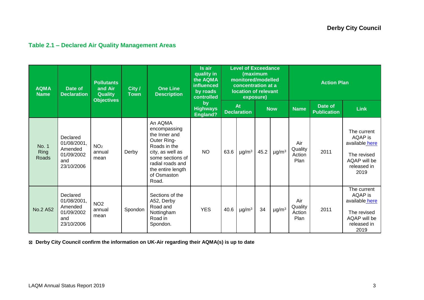## **Table 2.1 – Declared Air Quality Management Areas**

| <b>AQMA</b><br><b>Name</b>           | Date of<br><b>Declaration</b>                                         |                                   | <b>Pollutants</b><br>and Air<br>City /<br><b>Quality</b><br><b>Town</b><br><b>Objectives</b> |                                                                                                                                                                                  | Is air<br>quality in<br>the AQMA<br><b>influenced</b><br>by roads<br>controlled | <b>Level of Exceedance</b><br>(maximum<br>monitored/modelled<br>concentration at a<br>location of relevant<br>exposure) |                          |            |                        | <b>Action Plan</b>               |                               |                                                                                                |  |
|--------------------------------------|-----------------------------------------------------------------------|-----------------------------------|----------------------------------------------------------------------------------------------|----------------------------------------------------------------------------------------------------------------------------------------------------------------------------------|---------------------------------------------------------------------------------|-------------------------------------------------------------------------------------------------------------------------|--------------------------|------------|------------------------|----------------------------------|-------------------------------|------------------------------------------------------------------------------------------------|--|
|                                      |                                                                       |                                   |                                                                                              |                                                                                                                                                                                  | by<br><b>Highways</b><br><b>England?</b>                                        |                                                                                                                         | At<br><b>Declaration</b> | <b>Now</b> |                        | <b>Name</b>                      | Date of<br><b>Publication</b> | <b>Link</b>                                                                                    |  |
| <b>No. 1</b><br><b>Ring</b><br>Roads | Declared<br>01/08/2001,<br>Amended<br>01/09/2002<br>and<br>23/10/2006 | NO <sub>2</sub><br>annual<br>mean | Derby                                                                                        | An AQMA<br>encompassing<br>the Inner and<br>Outer Ring-<br>Roads in the<br>city, as well as<br>some sections of<br>radial roads and<br>the entire length<br>of Osmaston<br>Road. | <b>NO</b>                                                                       | 63.6                                                                                                                    | $\mu$ g/m <sup>3</sup>   | 45.2       | $\mu$ g/m <sup>3</sup> | Air<br>Quality<br>Action<br>Plan | 2011                          | The current<br>AQAP is<br>available here<br>The revised<br>AQAP will be<br>released in<br>2019 |  |
| No.2 A52                             | Declared<br>01/08/2001,<br>Amended<br>01/09/2002<br>and<br>23/10/2006 | NO <sub>2</sub><br>annual<br>mean | Spondon                                                                                      | Sections of the<br>A52, Derby<br>Road and<br>Nottingham<br>Road in<br>Spondon.                                                                                                   | <b>YES</b>                                                                      | 40.6                                                                                                                    | $\mu$ g/m <sup>3</sup>   | 34         | $\mu$ g/m $^3$         | Air<br>Quality<br>Action<br>Plan | 2011                          | The current<br>AQAP is<br>available here<br>The revised<br>AQAP will be<br>released in<br>2019 |  |

<span id="page-11-0"></span>☒ **Derby City Council confirm the information on UK-Air regarding their AQMA(s) is up to date**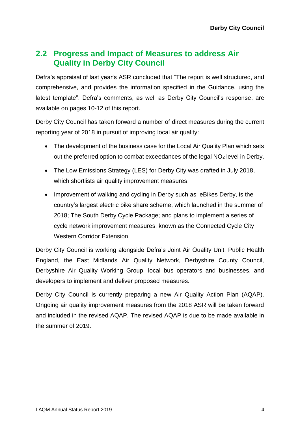## **2.2 Progress and Impact of Measures to address Air Quality in Derby City Council**

Defra's appraisal of last year's ASR concluded that "The report is well structured, and comprehensive, and provides the information specified in the Guidance, using the latest template". Defra's comments, as well as Derby City Council's response, are available on pages 10-12 of this report.

Derby City Council has taken forward a number of direct measures during the current reporting year of 2018 in pursuit of improving local air quality:

- The development of the business case for the Local Air Quality Plan which sets out the preferred option to combat exceedances of the legal NO<sub>2</sub> level in Derby.
- The Low Emissions Strategy (LES) for Derby City was drafted in July 2018, which shortlists air quality improvement measures.
- Improvement of walking and cycling in Derby such as: eBikes Derby, is the country's largest electric bike share scheme, which launched in the summer of 2018; The South Derby Cycle Package; and plans to implement a series of cycle network improvement measures, known as the Connected Cycle City Western Corridor Extension.

Derby City Council is working alongside Defra's Joint Air Quality Unit, Public Health England, the East Midlands Air Quality Network, Derbyshire County Council, Derbyshire Air Quality Working Group, local bus operators and businesses, and developers to implement and deliver proposed measures.

Derby City Council is currently preparing a new Air Quality Action Plan (AQAP). Ongoing air quality improvement measures from the 2018 ASR will be taken forward and included in the revised AQAP. The revised AQAP is due to be made available in the summer of 2019.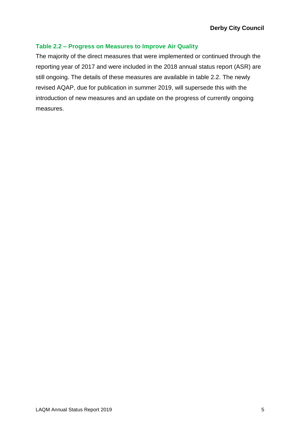### **Table 2.2 – Progress on Measures to Improve Air Quality**

The majority of the direct measures that were implemented or continued through the reporting year of 2017 and were included in the 2018 annual status report (ASR) are still ongoing. The details of these measures are available in table 2.2. The newly revised AQAP, due for publication in summer 2019, will supersede this with the introduction of new measures and an update on the progress of currently ongoing measures.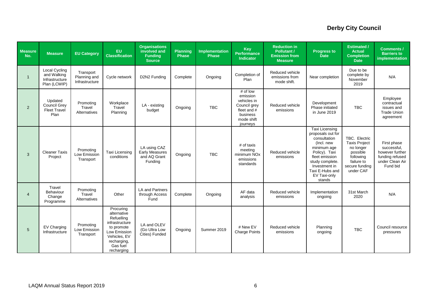| <b>Measure</b><br>No. | <b>Measure</b>                                                        | <b>EU Category</b>                          | EU<br><b>Classification</b>                                                                                                                     | <b>Organisations</b><br>involved and<br><b>Funding</b><br><b>Source</b> | <b>Planning</b><br><b>Phase</b> | <b>Implementation</b><br><b>Phase</b> | Key<br><b>Performance</b><br><b>Indicator</b>                                                            | <b>Reduction in</b><br><b>Pollutant /</b><br><b>Emission from</b><br><b>Measure</b> | <b>Progress to</b><br><b>Date</b>                                                                                                                                                                    | <b>Estimated /</b><br><b>Actual</b><br><b>Completion</b><br><b>Date</b>                                                  | <b>Comments /</b><br><b>Barriers to</b><br>implementation                                       |
|-----------------------|-----------------------------------------------------------------------|---------------------------------------------|-------------------------------------------------------------------------------------------------------------------------------------------------|-------------------------------------------------------------------------|---------------------------------|---------------------------------------|----------------------------------------------------------------------------------------------------------|-------------------------------------------------------------------------------------|------------------------------------------------------------------------------------------------------------------------------------------------------------------------------------------------------|--------------------------------------------------------------------------------------------------------------------------|-------------------------------------------------------------------------------------------------|
| $\mathbf{1}$          | <b>Local Cycling</b><br>and Walking<br>Infrastructure<br>Plan (LCWIP) | Transport<br>Planning and<br>Infrastructure | Cycle network                                                                                                                                   | D2N2 Funding                                                            | Complete                        | Ongoing                               | Completion of<br>Plan                                                                                    | Reduced vehicle<br>emissions from<br>mode shift.                                    | Near completion                                                                                                                                                                                      | Due to be<br>complete by<br>November<br>2019                                                                             | N/A                                                                                             |
| 2                     | Updated<br><b>Council Grey</b><br><b>Fleet Travel</b><br>Plan         | Promoting<br>Travel<br>Alternatives         | Workplace<br>Travel<br>Planning                                                                                                                 | LA - existing<br>budget                                                 | Ongoing                         | <b>TBC</b>                            | # of low<br>emission<br>vehicles in<br>Council grey<br>fleet and #<br>business<br>mode shift<br>journeys | Reduced vehicle<br>emissions                                                        | Development<br>Phase initiated<br>in June 2019                                                                                                                                                       | <b>TBC</b>                                                                                                               | Employee<br>contractual<br>issues and<br><b>Trade Union</b><br>agreement                        |
| 3                     | <b>Cleaner Taxis</b><br>Project                                       | Promoting<br>Low Emission<br>Transport      | Taxi Licensing<br>conditions                                                                                                                    | LA using CAZ<br><b>Early Measures</b><br>and AQ Grant<br>Funding        | Ongoing                         | <b>TBC</b>                            | # of taxis<br>meeting<br>minimum NO <sub>x</sub><br>emissions<br>standards                               | Reduced vehicle<br>emissions                                                        | Taxi Licensing<br>proposals out for<br>consultation<br>(Incl. new<br>minimum age<br>Policy). Taxi<br>fleet emission<br>study complete.<br>Investment in<br>Taxi E-Hubs and<br>EV Taxi-only<br>stands | TBC. Electric<br><b>Taxis Project</b><br>no longer<br>possible<br>following<br>failure to<br>secure funding<br>under CAF | First phase<br>successful,<br>however further<br>funding refused<br>under Clean Air<br>Fund bid |
| $\overline{4}$        | Travel<br>Behaviour<br>Change<br>Programme                            | Promoting<br>Travel<br>Alternatives         | Other                                                                                                                                           | <b>LA and Partners</b><br>through Access<br>Fund                        | Complete                        | Ongoing                               | AF data<br>analysis                                                                                      | Reduced vehicle<br>emissions                                                        | Implementation<br>ongoing                                                                                                                                                                            | 31st March<br>2020                                                                                                       | N/A                                                                                             |
| 5                     | EV Charging<br>Infrastructure                                         | Promoting<br>Low Emission<br>Transport      | Procuring<br>alternative<br>Refuelling<br>infrastructure<br>to promote<br>Low Emission<br>Vehicles, EV<br>recharging,<br>Gas fuel<br>recharging | LA and OLEV<br>(Go Ultra Low<br>Cities) Funded                          | Ongoing                         | Summer 2019                           | # New EV<br><b>Charge Points</b>                                                                         | Reduced vehicle<br>emissions                                                        | Planning<br>ongoing                                                                                                                                                                                  | <b>TBC</b>                                                                                                               | Council resource<br>pressures                                                                   |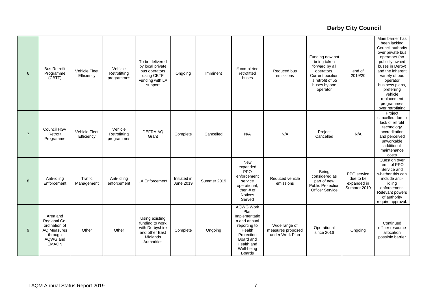| 6              | <b>Bus Retrofit</b><br>Programme<br>$(\tilde{C}BTF)$                                                   | Vehicle Fleet<br>Efficiency | Vehicle<br>Retrofitting<br>programmes | To be delivered<br>by local private<br>bus operators<br>using CBTF<br>Funding with LA<br>support  | Ongoing                   | Imminent    | # completed<br>retrofitted<br>buses                                                                                                                         | Reduced bus<br>emissions                              | Funding now not<br>being taken<br>forward by all<br>operators.<br>Current position<br>is retrofit of 55<br>buses by one<br>operator | end of<br>2019/20                                      | Main barrier has<br>been lacking<br>Council authority<br>over private bus<br>operators (no<br>publicly owned<br>buses in Derby)<br>and the inherent<br>variety of bus<br>operator<br>business plans,<br>preferring<br>vehicle<br>replacement<br>programmes<br>over retrofitting |
|----------------|--------------------------------------------------------------------------------------------------------|-----------------------------|---------------------------------------|---------------------------------------------------------------------------------------------------|---------------------------|-------------|-------------------------------------------------------------------------------------------------------------------------------------------------------------|-------------------------------------------------------|-------------------------------------------------------------------------------------------------------------------------------------|--------------------------------------------------------|---------------------------------------------------------------------------------------------------------------------------------------------------------------------------------------------------------------------------------------------------------------------------------|
| $\overline{7}$ | Council HGV<br>Retrofit<br>Programme                                                                   | Vehicle Fleet<br>Efficiency | Vehicle<br>Retrofitting<br>programmes | <b>DEFRA AQ</b><br>Grant                                                                          | Complete                  | Cancelled   | N/A                                                                                                                                                         | N/A                                                   | Project<br>Cancelled                                                                                                                | N/A                                                    | Project<br>cancelled due to<br>lack of retrofit<br>technology<br>accreditation<br>and perceived<br>unworkable<br>additional<br>maintenance<br>costs                                                                                                                             |
| 8              | Anti-idling<br>Enforcement                                                                             | Traffic<br>Management       | Anti-idling<br>enforcement            | <b>LA Enforcement</b>                                                                             | Initiated in<br>June 2019 | Summer 2019 | New<br>expanded<br>PPO<br>enforcement<br>service<br>operational,<br>then # of<br><b>Notices</b><br>Served                                                   | Reduced vehicle<br>emissions                          | Being<br>considered as<br>part of new<br><b>Public Protection</b><br><b>Officer Service</b>                                         | PPO service<br>due to be<br>expanded in<br>Summer 2019 | Question over<br>remit of PPO<br>Service and<br>whether this can<br>include anti-<br>idling<br>enforcement.<br>Relevant powers<br>of authority<br>require approval.                                                                                                             |
| 9              | Area and<br>Regional Co-<br>ordination of<br><b>AQ Measures</b><br>through<br>AQWG and<br><b>EMAQN</b> | Other                       | Other                                 | Using existing<br>funding to work<br>with Derbyshire<br>and other East<br>Midlands<br>Authorities | Complete                  | Ongoing     | <b>AQWG Work</b><br>Plan<br>Implementatio<br>n and annual<br>reporting to<br>Health<br>Protection<br>Board and<br>Health and<br>Well-being<br><b>Boards</b> | Wide range of<br>measures proposed<br>under Work Plan | Operational<br>since 2016                                                                                                           | Ongoing                                                | Continued<br>officer resource<br>allocation<br>possible barrier                                                                                                                                                                                                                 |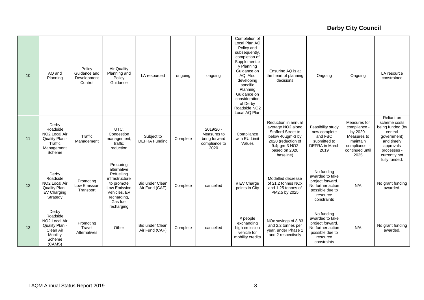| 10 | AQ and<br>Planning                                                                                            | Policy<br>Guidance and<br>Development<br>Control | Air Quality<br>Planning and<br>Policy<br>Guidance                                                                                               | LA resourced                             | ongoing  | ongoing                                                              | Completion of<br>Local Plan AQ<br>Policy and<br>subsequently,<br>completion of<br>Supplementar<br>y Planning<br>Guidance on<br>AQ. Also<br>developing<br>specific<br>Planning<br>Guidance on<br>consideration<br>of Derby<br>Roadside NO <sub>2</sub><br>Local AQ Plan | Ensuring AQ is at<br>the heart of planning<br>decisions                                                                                                       | Ongoing                                                                                                              | Ongoing                                                                                                        | LA resource<br>constrained                                                                                                                           |
|----|---------------------------------------------------------------------------------------------------------------|--------------------------------------------------|-------------------------------------------------------------------------------------------------------------------------------------------------|------------------------------------------|----------|----------------------------------------------------------------------|------------------------------------------------------------------------------------------------------------------------------------------------------------------------------------------------------------------------------------------------------------------------|---------------------------------------------------------------------------------------------------------------------------------------------------------------|----------------------------------------------------------------------------------------------------------------------|----------------------------------------------------------------------------------------------------------------|------------------------------------------------------------------------------------------------------------------------------------------------------|
| 11 | Derby<br>Roadside<br>NO <sub>2</sub> Local Air<br>Quality Plan -<br>Traffic<br>Management<br>Scheme           | Traffic<br>Management                            | UTC,<br>Congestion<br>management,<br>traffic<br>reduction                                                                                       | Subject to<br>DEFRA Funding              | Complete | $2019/20 -$<br>Measures to<br>bring forward<br>compliance to<br>2020 | Compliance<br>with EU Limit<br>Values                                                                                                                                                                                                                                  | Reduction in annual<br>average NO2 along<br><b>Stafford Street to</b><br>below 40µgm-3 by<br>2020 (reduction of<br>9.4µgm-3 NO2<br>based on 2020<br>baseline) | Feasibility study<br>now complete<br>and FBC<br>submitted to<br><b>DEFRA</b> in March<br>2019                        | Measures for<br>compliance -<br>by 2020.<br>Measures to<br>maintain<br>compliance -<br>continued until<br>2025 | Reliant on<br>scheme costs<br>being funded (by<br>central<br>government)<br>and timely<br>approvals<br>processes -<br>currently not<br>fully funded. |
| 12 | Derby<br>Roadside<br>NO <sub>2</sub> Local Air<br>Quality Plan -<br>EV Charging<br>Strategy                   | Promoting<br>Low Emission<br>Transport           | Procuring<br>alternative<br>Refuelling<br>infrastructure<br>to promote<br>Low Emission<br>Vehicles, EV<br>recharging,<br>Gas fuel<br>recharging | <b>Bid under Clean</b><br>Air Fund (CAF) | Complete | cancelled                                                            | # EV Charge<br>points in City                                                                                                                                                                                                                                          | Modelled decrease<br>of 21.2 tonnes NOx<br>and 1.25 tonnes of<br>PM2.5 by 2025                                                                                | No funding<br>awarded to take<br>project forward.<br>No further action<br>possible due to<br>resource<br>constraints | N/A                                                                                                            | No grant funding<br>awarded.                                                                                                                         |
| 13 | Derby<br>Roadside<br>NO <sub>2</sub> Local Air<br>Quality Plan -<br>Clean Air<br>Mobility<br>Scheme<br>(CAMS) | Promoting<br>Travel<br>Alternatives              | Other                                                                                                                                           | <b>Bid under Clean</b><br>Air Fund (CAF) | Complete | cancelled                                                            | # people<br>exchanging<br>high emission<br>vehicle for<br>mobility credits                                                                                                                                                                                             | NOx savings of 8.83<br>and 2.2 tonnes per<br>year, under Phase 1<br>and 2 respectively                                                                        | No funding<br>awarded to take<br>project forward.<br>No further action<br>possible due to<br>resource<br>constraints | N/A                                                                                                            | No grant funding<br>awarded.                                                                                                                         |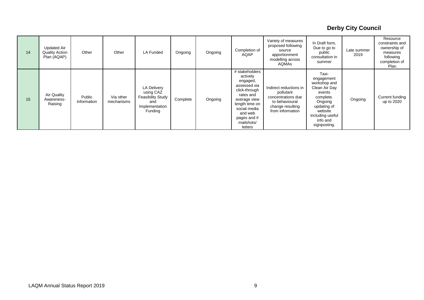| 14 | <b>Updated Air</b><br><b>Quality Action</b><br>Plan (AQAP) | Other                 | Other                   | LA Funded                                                                                       | Ongoing  | Ongoing | Completion of<br>AQAP                                                                                                                                                                     | Variety of measures<br>proposed following<br>source<br>apportionment<br>modelling across<br><b>AQMAs</b>            | In Draft form,<br>Due to go to<br>public<br>consultation in<br>summer                                                                                            | Late summer<br>2019 | Resource<br>constraints and<br>ownership of<br>measures<br>following<br>completion of<br>Plan |
|----|------------------------------------------------------------|-----------------------|-------------------------|-------------------------------------------------------------------------------------------------|----------|---------|-------------------------------------------------------------------------------------------------------------------------------------------------------------------------------------------|---------------------------------------------------------------------------------------------------------------------|------------------------------------------------------------------------------------------------------------------------------------------------------------------|---------------------|-----------------------------------------------------------------------------------------------|
| 15 | Air Quality<br>Awareness-<br>Raising                       | Public<br>Information | Via other<br>mechanisms | <b>LA Delivery</b><br>using CAZ<br><b>Feasibility Study</b><br>and<br>Implementation<br>Funding | Complete | Ongoing | # stakeholders<br>actively<br>engaged,<br>assessed via<br>click-through<br>rates and<br>average view<br>length time on<br>social media<br>and web<br>pages and #<br>mailshots/<br>letters | Indirect reductions in<br>pollutant<br>concentrations due<br>to behavioural<br>change resulting<br>from information | Taxi-<br>engagement<br>workshop and<br>Clean Air Day<br>events<br>complete.<br>Ongoing<br>updating of<br>website<br>including useful<br>info and<br>signposting. | Ongoing             | Current funding<br>up to 2020                                                                 |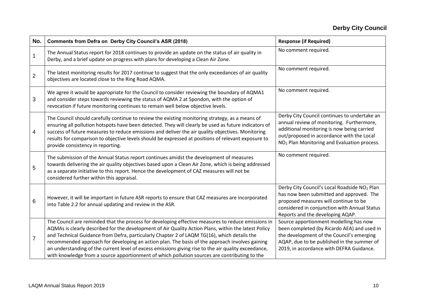| No.            | <b>Comments from Defra on Derby City Council's ASR (2018)</b>                                                                                                                                                                                                                                                                                                                                                                                                                                                                                                                                                        | <b>Response (if Required)</b>                                                                                                                                                                                                                   |
|----------------|----------------------------------------------------------------------------------------------------------------------------------------------------------------------------------------------------------------------------------------------------------------------------------------------------------------------------------------------------------------------------------------------------------------------------------------------------------------------------------------------------------------------------------------------------------------------------------------------------------------------|-------------------------------------------------------------------------------------------------------------------------------------------------------------------------------------------------------------------------------------------------|
| $\mathbf 1$    | The Annual Status report for 2018 continues to provide an update on the status of air quality in<br>Derby, and a brief update on progress with plans for developing a Clean Air Zone.                                                                                                                                                                                                                                                                                                                                                                                                                                | No comment required.                                                                                                                                                                                                                            |
| $\overline{2}$ | The latest monitoring results for 2017 continue to suggest that the only exceedances of air quality<br>objectives are located close to the Ring Road AQMA.                                                                                                                                                                                                                                                                                                                                                                                                                                                           | No comment required.                                                                                                                                                                                                                            |
| 3              | We agree it would be appropriate for the Council to consider reviewing the boundary of AQMA1<br>and consider steps towards reviewing the status of AQMA 2 at Spondon, with the option of<br>revocation if future monitoring continues to remain well below objective levels.                                                                                                                                                                                                                                                                                                                                         | No comment required.                                                                                                                                                                                                                            |
| 4              | The Council should carefully continue to review the existing monitoring strategy, as a means of<br>ensuring all pollution hotspots have been detected. They will clearly be used as future indicators of<br>success of future measures to reduce emissions and deliver the air quality objectives. Monitoring<br>results for comparison to objective levels should be expressed at positions of relevant exposure to<br>provide consistency in reporting.                                                                                                                                                            | Derby City Council continues to undertake an<br>annual review of monitoring. Furthermore,<br>additional monitoring is now being carried<br>out/proposed in accordance with the Local<br>NO <sub>2</sub> Plan Monitoring and Evaluation process. |
| 5              | The submission of the Annual Status report continues amidst the development of measures<br>towards delivering the air quality objectives based upon a Clean Air Zone, which is being addressed<br>as a separate initiative to this report. Hence the development of CAZ measures will not be<br>considered further within this appraisal.                                                                                                                                                                                                                                                                            | No comment required.                                                                                                                                                                                                                            |
| 6              | However, it will be important in future ASR reports to ensure that CAZ measures are incorporated<br>into Table 2.2 for annual updating and review in the ASR.                                                                                                                                                                                                                                                                                                                                                                                                                                                        | Derby City Council's Local Roadside NO <sub>2</sub> Plan<br>has now been submitted and approved. The<br>proposed measures will continue to be<br>considered in conjunction with Annual Status<br>Reports and the developing AQAP.               |
| $\overline{7}$ | The Council are reminded that the process for developing effective measures to reduce emissions in<br>AQMAs is clearly described for the development of Air Quality Action Plans, within the latest Policy<br>and Technical Guidance from Defra, particularly Chapter 2 of LAQM TG(16), which details the<br>recommended approach for developing an action plan. The basis of the approach involves gaining<br>an understanding of the current level of excess emissions giving rise to the air quality exceedance,<br>with knowledge from a source apportionment of which pollution sources are contributing to the | Source apportionment modelling has now<br>been completed (by Ricardo AEA) and used in<br>the development of the Council's emerging<br>AQAP, due to be published in the summer of<br>2019, in accordance with DEFRA Guidance.                    |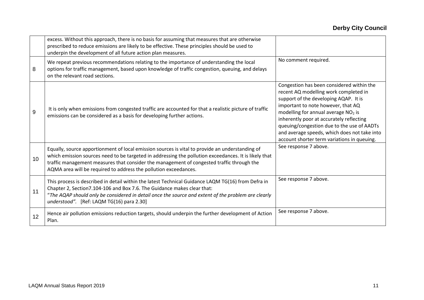|    | excess. Without this approach, there is no basis for assuming that measures that are otherwise<br>prescribed to reduce emissions are likely to be effective. These principles should be used to<br>underpin the development of all future action plan measures.                                                                                                           |                                                                                                                                                                                                                                                                                                                                                                                                               |
|----|---------------------------------------------------------------------------------------------------------------------------------------------------------------------------------------------------------------------------------------------------------------------------------------------------------------------------------------------------------------------------|---------------------------------------------------------------------------------------------------------------------------------------------------------------------------------------------------------------------------------------------------------------------------------------------------------------------------------------------------------------------------------------------------------------|
| 8  | We repeat previous recommendations relating to the importance of understanding the local<br>options for traffic management, based upon knowledge of traffic congestion, queuing, and delays<br>on the relevant road sections.                                                                                                                                             | No comment required.                                                                                                                                                                                                                                                                                                                                                                                          |
| 9  | It is only when emissions from congested traffic are accounted for that a realistic picture of traffic<br>emissions can be considered as a basis for developing further actions.                                                                                                                                                                                          | Congestion has been considered within the<br>recent AQ modelling work completed in<br>support of the developing AQAP. It is<br>important to note however, that AQ<br>modelling for annual average NO <sub>2</sub> is<br>inherently poor at accurately reflecting<br>queuing/congestion due to the use of AADTs<br>and average speeds, which does not take into<br>account shorter term variations in queuing. |
| 10 | Equally, source apportionment of local emission sources is vital to provide an understanding of<br>which emission sources need to be targeted in addressing the pollution exceedances. It is likely that<br>traffic management measures that consider the management of congested traffic through the<br>AQMA area will be required to address the pollution exceedances. | See response 7 above.                                                                                                                                                                                                                                                                                                                                                                                         |
| 11 | This process is described in detail within the latest Technical Guidance LAQM TG(16) from Defra in<br>Chapter 2, Section7.104-106 and Box 7.6. The Guidance makes clear that:<br>"The AQAP should only be considered in detail once the source and extent of the problem are clearly<br>understood". [Ref: LAQM TG(16) para 2.30]                                         | See response 7 above.                                                                                                                                                                                                                                                                                                                                                                                         |
| 12 | Hence air pollution emissions reduction targets, should underpin the further development of Action<br>Plan.                                                                                                                                                                                                                                                               | See response 7 above.                                                                                                                                                                                                                                                                                                                                                                                         |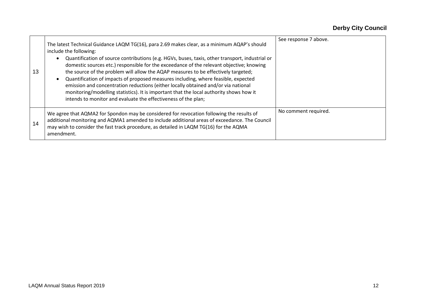| 13 | The latest Technical Guidance LAQM TG(16), para 2.69 makes clear, as a minimum AQAP's should<br>include the following:<br>Quantification of source contributions (e.g. HGVs, buses, taxis, other transport, industrial or<br>domestic sources etc.) responsible for the exceedance of the relevant objective; knowing<br>the source of the problem will allow the AQAP measures to be effectively targeted;<br>Quantification of impacts of proposed measures including, where feasible, expected<br>emission and concentration reductions (either locally obtained and/or via national<br>monitoring/modelling statistics). It is important that the local authority shows how it<br>intends to monitor and evaluate the effectiveness of the plan; | See response 7 above. |
|----|------------------------------------------------------------------------------------------------------------------------------------------------------------------------------------------------------------------------------------------------------------------------------------------------------------------------------------------------------------------------------------------------------------------------------------------------------------------------------------------------------------------------------------------------------------------------------------------------------------------------------------------------------------------------------------------------------------------------------------------------------|-----------------------|
| 14 | We agree that AQMA2 for Spondon may be considered for revocation following the results of<br>additional monitoring and AQMA1 amended to include additional areas of exceedance. The Council<br>may wish to consider the fast track procedure, as detailed in LAQM TG(16) for the AQMA<br>amendment.                                                                                                                                                                                                                                                                                                                                                                                                                                                  | No comment required.  |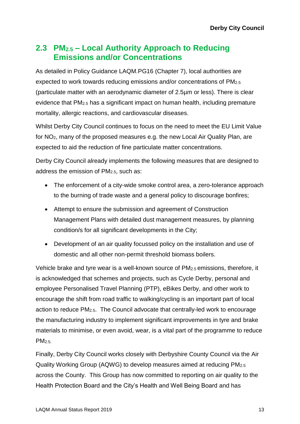## **2.3 PM2.5 – Local Authority Approach to Reducing Emissions and/or Concentrations**

As detailed in Policy Guidance LAQM.PG16 (Chapter 7), local authorities are expected to work towards reducing emissions and/or concentrations of PM2.5 (particulate matter with an aerodynamic diameter of 2.5µm or less). There is clear evidence that PM2.5 has a significant impact on human health, including premature mortality, allergic reactions, and cardiovascular diseases.

Whilst Derby City Council continues to focus on the need to meet the EU Limit Value for NO2, many of the proposed measures e.g. the new Local Air Quality Plan, are expected to aid the reduction of fine particulate matter concentrations.

Derby City Council already implements the following measures that are designed to address the emission of PM2.5, such as:

- The enforcement of a city-wide smoke control area, a zero-tolerance approach to the burning of trade waste and a general policy to discourage bonfires;
- Attempt to ensure the submission and agreement of Construction Management Plans with detailed dust management measures, by planning condition/s for all significant developments in the City;
- Development of an air quality focussed policy on the installation and use of domestic and all other non-permit threshold biomass boilers.

Vehicle brake and tyre wear is a well-known source of PM2.5 emissions, therefore, it is acknowledged that schemes and projects, such as Cycle Derby, personal and employee Personalised Travel Planning (PTP), eBikes Derby, and other work to encourage the shift from road traffic to walking/cycling is an important part of local action to reduce PM2.5. The Council advocate that centrally-led work to encourage the manufacturing industry to implement significant improvements in tyre and brake materials to minimise, or even avoid, wear, is a vital part of the programme to reduce  $PM<sub>2.5</sub>$ 

Finally, Derby City Council works closely with Derbyshire County Council via the Air Quality Working Group (AQWG) to develop measures aimed at reducing PM2.5 across the County. This Group has now committed to reporting on air quality to the Health Protection Board and the City's Health and Well Being Board and has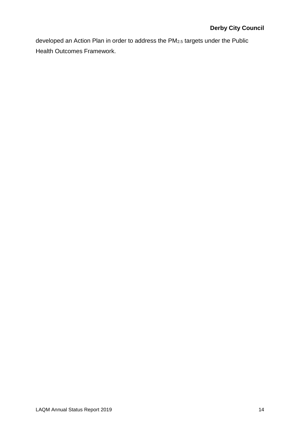developed an Action Plan in order to address the PM2.5 targets under the Public Health Outcomes Framework.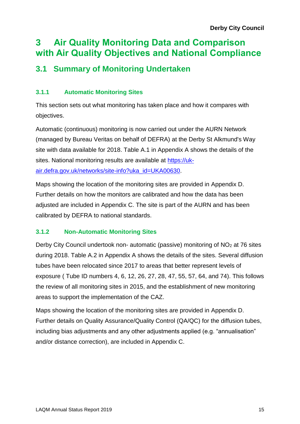## **3 Air Quality Monitoring Data and Comparison with Air Quality Objectives and National Compliance**

## **3.1 Summary of Monitoring Undertaken**

### **3.1.1 Automatic Monitoring Sites**

This section sets out what monitoring has taken place and how it compares with objectives.

Automatic (continuous) monitoring is now carried out under the AURN Network (managed by Bureau Veritas on behalf of DEFRA) at the Derby St Alkmund's Way site with data available for 2018. [Table A.1](#page-26-0) in Appendix A shows the details of the sites. National monitoring results are available at [https://uk](https://uk-air.defra.gov.uk/networks/site-info?uka_id=UKA00630)[air.defra.gov.uk/networks/site-info?uka\\_id=UKA00630.](https://uk-air.defra.gov.uk/networks/site-info?uka_id=UKA00630)

Maps showing the location of the monitoring sites are provided in Appendix D. Further details on how the monitors are calibrated and how the data has been adjusted are included in Appendix C. The site is part of the AURN and has been calibrated by DEFRA to national standards.

### **3.1.2 Non-Automatic Monitoring Sites**

Derby City Council undertook non- automatic (passive) monitoring of NO<sub>2</sub> at 76 sites during 2018. [Table A.2](#page-27-0) in Appendix A shows the details of the sites. Several diffusion tubes have been relocated since 2017 to areas that better represent levels of exposure ( Tube ID numbers 4, 6, 12, 26, 27, 28, 47, 55, 57, 64, and 74). This follows the review of all monitoring sites in 2015, and the establishment of new monitoring areas to support the implementation of the CAZ.

Maps showing the location of the monitoring sites are provided in Appendix D. Further details on Quality Assurance/Quality Control (QA/QC) for the diffusion tubes, including bias adjustments and any other adjustments applied (e.g. "annualisation" and/or distance correction), are included in Appendix C.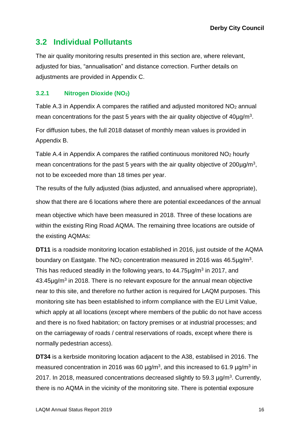## **3.2 Individual Pollutants**

The air quality monitoring results presented in this section are, where relevant, adjusted for bias, "annualisation" and distance correction. Further details on adjustments are provided in Appendix C.

### **3.2.1 Nitrogen Dioxide (NO2)**

[Table A.3](#page-33-0) in Appendix A compares the ratified and adjusted monitored  $NO<sub>2</sub>$  annual mean concentrations for the past 5 years with the air quality objective of  $40 \mu g/m<sup>3</sup>$ .

For diffusion tubes, the full 2018 dataset of monthly mean values is provided in Appendix B.

[Table A.4](#page-42-0) in Appendix A compares the ratified continuous monitored  $NO<sub>2</sub>$  hourly mean concentrations for the past 5 years with the air quality objective of  $200 \mu g/m^3$ , not to be exceeded more than 18 times per year.

The results of the fully adjusted (bias adjusted, and annualised where appropriate), show that there are 6 locations where there are potential exceedances of the annual mean objective which have been measured in 2018. Three of these locations are within the existing Ring Road AQMA. The remaining three locations are outside of the existing AQMAs:

**DT11** is a roadside monitoring location established in 2016, just outside of the AQMA boundary on Eastgate. The NO<sub>2</sub> concentration measured in 2016 was 46.5 $\mu$ g/m<sup>3</sup>. This has reduced steadily in the following years, to  $44.75 \mu g/m<sup>3</sup>$  in 2017, and  $43.45 \mu g/m<sup>3</sup>$  in 2018. There is no relevant exposure for the annual mean objective near to this site, and therefore no further action is required for LAQM purposes. This monitoring site has been established to inform compliance with the EU Limit Value, which apply at all locations (except where members of the public do not have access and there is no fixed habitation; on factory premises or at industrial processes; and on the carriageway of roads / central reservations of roads, except where there is normally pedestrian access).

**DT34** is a kerbside monitoring location adjacent to the A38, establised in 2016. The measured concentration in 2016 was 60  $\mu$ g/m<sup>3</sup>, and this increased to 61.9  $\mu$ g/m<sup>3</sup> in 2017. In 2018, measured concentrations decreased slightly to 59.3  $\mu$ g/m<sup>3</sup>. Currently, there is no AQMA in the vicinity of the monitoring site. There is potential exposure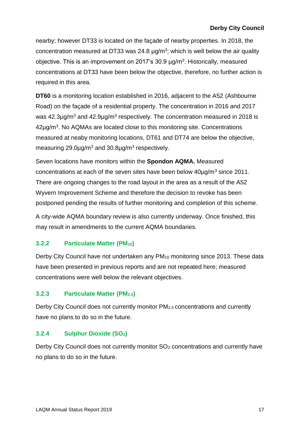nearby; however DT33 is located on the façade of nearby properties. In 2018, the concentration measured at DT33 was 24.8  $\mu$ g/m<sup>3</sup>; which is well below the air quality objective. This is an improvement on 2017's 30.9 µg/m<sup>3</sup>. Historically, measured concentrations at DT33 have been below the objective, therefore, no further action is required in this area.

**DT60** is a monitoring location established in 2016, adjacent to the A52 (Ashbourne Road) on the façade of a residential property. The concentration in 2016 and 2017 was 42.3 $\mu$ g/m<sup>3</sup> and 42.9 $\mu$ g/m<sup>3</sup> respectively. The concentration measured in 2018 is  $42\mu$ g/m<sup>3</sup>. No AQMAs are located close to this monitoring site. Concentrations measured at neaby monitoring locations, DT61 and DT74 are below the objective, measuring 29.0 $\mu$ g/m<sup>3</sup> and 30.8 $\mu$ g/m<sup>3</sup> respectively.

Seven locations have monitors within the **Spondon AQMA.** Measured concentrations at each of the seven sites have been below  $40\mu q/m^3$  since 2011. There are ongoing changes to the road layout in the area as a result of the A52 Wyvern Improvement Scheme and therefore the decision to revoke has been postponed pending the results of further monitoring and completion of this scheme.

A city-wide AQMA boundary review is also currently underway. Once finished, this may result in amendments to the current AQMA boundaries.

### **3.2.2 Particulate Matter (PM10)**

Derby City Council have not undertaken any PM<sub>10</sub> monitoring since 2013. These data have been presented in previous reports and are not repeated here; measured concentrations were well below the relevant objectives.

### **3.2.3 Particulate Matter (PM2.5)**

Derby City Council does not currently monitor PM2.5 concentrations and currently have no plans to do so in the future.

### **3.2.4 Sulphur Dioxide (SO2)**

Derby City Council does not currently monitor SO<sub>2</sub> concentrations and currently have no plans to do so in the future.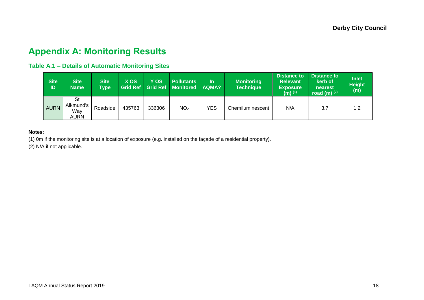## **Appendix A: Monitoring Results**

### **Table A.1 – Details of Automatic Monitoring Sites**

| Site<br>ID  | <b>Site</b><br><b>Name</b>                   | <b>Site</b><br><b>Type</b> | <b>X OS</b><br><b>Grid Ref</b> | VOS<br><b>Grid Ref</b> | <b>Pollutants</b><br><b>Monitored</b> | In.<br>AQMA? | <b>Monitoring</b><br><b>Technique</b> | <b>Distance to</b><br><b>Relevant</b><br><b>Exposure</b><br>(m) $(1)$ | <b>Distance to</b><br>kerb of<br>nearest<br>road (m) $(2)$ | <b>Inlet</b><br><b>Height</b><br>(m) |
|-------------|----------------------------------------------|----------------------------|--------------------------------|------------------------|---------------------------------------|--------------|---------------------------------------|-----------------------------------------------------------------------|------------------------------------------------------------|--------------------------------------|
| <b>AURN</b> | <b>St</b><br>Alkmund's<br>Wav<br><b>AURN</b> | Roadside                   | 435763                         | 336306                 | NO <sub>2</sub>                       | <b>YES</b>   | Chemiluminescent                      | N/A                                                                   | 3.7                                                        | 1.2                                  |

#### **Notes:**

(1) 0m if the monitoring site is at a location of exposure (e.g. installed on the façade of a residential property).

<span id="page-26-0"></span>(2) N/A if not applicable.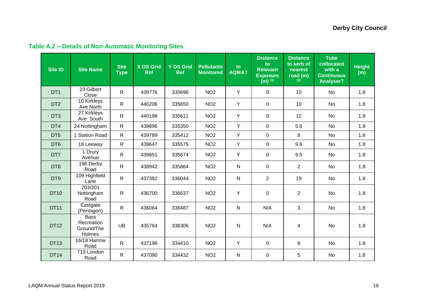<span id="page-27-0"></span>

| <b>Site ID</b>  | <b>Site Name</b>                                  | <b>Site</b><br><b>Type</b> | <b>X OS Grid</b><br><b>Ref</b> | <b>Y OS Grid</b><br><b>Ref</b> | <b>Pollutants</b><br><b>Monitored</b> | ln<br>AQMA?  | <b>Distance</b><br>to<br><b>Relevant</b><br><b>Exposure</b><br>$(m)$ <sup>(1)</sup> | <b>Distance</b><br>to kerb of<br>nearest<br>road (m)<br>(2) | <b>Tube</b><br>collocated<br>with a<br><b>Continuous</b><br><b>Analyser?</b> | <b>Height</b><br>(m) |
|-----------------|---------------------------------------------------|----------------------------|--------------------------------|--------------------------------|---------------------------------------|--------------|-------------------------------------------------------------------------------------|-------------------------------------------------------------|------------------------------------------------------------------------------|----------------------|
| DT <sub>1</sub> | $\overline{23}$ Gilbert<br>Close                  | $\mathsf{R}$               | 439776                         | 335696                         | NO <sub>2</sub>                       | Y            | $\overline{0}$                                                                      | 10 <sup>°</sup>                                             | <b>No</b>                                                                    | 1.8                  |
| DT <sub>2</sub> | 10 Kirkleys<br>Ave North                          | $\mathsf{R}$               | 440206                         | 335650                         | NO <sub>2</sub>                       | Y            | $\overline{0}$                                                                      | 10 <sup>°</sup>                                             | <b>No</b>                                                                    | 1.8                  |
| DT <sub>3</sub> | 27 Kirkleys<br>Ave South                          | $\mathsf{R}$               | 440198                         | 335611                         | NO <sub>2</sub>                       | Y            | $\mathbf 0$                                                                         | 12                                                          | No                                                                           | 1.8                  |
| DT4             | 24 Nottingham                                     | $\mathsf{R}$               | 439896                         | 335350                         | NO <sub>2</sub>                       | Y            | $\overline{0}$                                                                      | 5.8                                                         | <b>No</b>                                                                    | 1.8                  |
| DT <sub>5</sub> | 1 Station Road                                    | $\mathsf{R}$               | 439789                         | 335412                         | NO <sub>2</sub>                       | Y            | $\overline{0}$                                                                      | 8                                                           | No                                                                           | 1.8                  |
| DT <sub>6</sub> | 18 Leeway                                         | $\mathsf{R}$               | 439647                         | 335575                         | NO <sub>2</sub>                       | Y            | $\mathbf 0$                                                                         | 9.8                                                         | No                                                                           | 1.8                  |
| DT7             | 1 Drury<br>Avenue                                 | $\mathsf{R}$               | 439851                         | 335674                         | NO <sub>2</sub>                       | Y            | 0                                                                                   | 9.5                                                         | No                                                                           | 1.8                  |
| DT8             | 198 Derby<br>Road                                 | $\mathsf{R}$               | 438942                         | 335864                         | NO <sub>2</sub>                       | $\mathsf{N}$ | $\overline{0}$                                                                      | $\overline{2}$                                              | <b>No</b>                                                                    | 1.8                  |
| DT9             | 109 Highfield<br>Lane                             | $\mathsf{R}$               | 437382                         | 336044                         | NO <sub>2</sub>                       | ${\sf N}$    | $\overline{2}$                                                                      | 19                                                          | No                                                                           | 1.8                  |
| <b>DT10</b>     | 203/201<br>Nottingham<br>Road                     | $\mathsf{R}$               | 436700                         | 336637                         | NO <sub>2</sub>                       | Y            | $\pmb{0}$                                                                           | $\overline{2}$                                              | No                                                                           | 1.8                  |
| <b>DT11</b>     | Eastgate<br>(Pentagon)                            | $\mathsf{R}$               | 436064                         | 336487                         | NO <sub>2</sub>                       | ${\sf N}$    | N/A                                                                                 | 3                                                           | <b>No</b>                                                                    | 1.8                  |
| <b>DT12</b>     | <b>Bass</b><br>Recreation<br>Ground/The<br>Holmes | <b>UB</b>                  | 435764                         | 336306                         | NO <sub>2</sub>                       | $\mathsf{N}$ | N/A                                                                                 | 4                                                           | <b>No</b>                                                                    | 1.8                  |
| <b>DT13</b>     | 16/18 Harrow<br>Road                              | $\mathsf{R}$               | 437196                         | 334410                         | NO <sub>2</sub>                       | Y            | $\overline{0}$                                                                      | 8                                                           | <b>No</b>                                                                    | 1.8                  |
| <b>DT14</b>     | 713 London<br>Road                                | $\mathsf{R}$               | 437090                         | 334432                         | NO <sub>2</sub>                       | $\mathsf{N}$ | $\mathbf 0$                                                                         | 5                                                           | <b>No</b>                                                                    | 1.8                  |

## **Table A.2 – Details of Non-Automatic Monitoring Sites**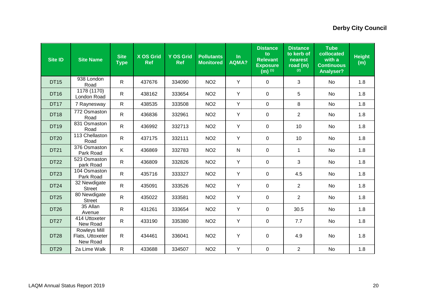| <b>Site ID</b> | <b>Site Name</b>                             | <b>Site</b><br><b>Type</b> | <b>X OS Grid</b><br><b>Ref</b> | <b>Y OS Grid</b><br><b>Ref</b> | <b>Pollutants</b><br><b>Monitored</b> | $\ln$<br><b>AQMA?</b> | <b>Distance</b><br>to<br><b>Relevant</b><br><b>Exposure</b><br>$(m)$ <sup>(1)</sup> | <b>Distance</b><br>to kerb of<br>nearest<br>road (m)<br>(2) | <b>Tube</b><br>collocated<br>with a<br><b>Continuous</b><br><b>Analyser?</b> | <b>Height</b><br>(m) |
|----------------|----------------------------------------------|----------------------------|--------------------------------|--------------------------------|---------------------------------------|-----------------------|-------------------------------------------------------------------------------------|-------------------------------------------------------------|------------------------------------------------------------------------------|----------------------|
| <b>DT15</b>    | 938 London<br>Road                           | $\mathsf{R}$               | 437676                         | 334090                         | NO <sub>2</sub>                       | Y                     | $\pmb{0}$                                                                           | 3                                                           | <b>No</b>                                                                    | 1.8                  |
| <b>DT16</b>    | 1178 (1170)<br>London Road                   | $\mathsf{R}$               | 438162                         | 333654                         | NO <sub>2</sub>                       | Y                     | $\mathbf 0$                                                                         | 5                                                           | <b>No</b>                                                                    | 1.8                  |
| <b>DT17</b>    | 7 Raynesway                                  | $\mathsf{R}$               | 438535                         | 333508                         | NO <sub>2</sub>                       | Y                     | $\mathbf 0$                                                                         | 8                                                           | <b>No</b>                                                                    | 1.8                  |
| <b>DT18</b>    | 772 Osmaston<br>Road                         | $\mathsf{R}$               | 436836                         | 332961                         | NO <sub>2</sub>                       | Y                     | $\Omega$                                                                            | 2                                                           | No                                                                           | 1.8                  |
| <b>DT19</b>    | 831 Osmaston<br>Road                         | $\mathsf{R}$               | 436992                         | 332713                         | NO <sub>2</sub>                       | Y                     | $\mathbf 0$                                                                         | 10                                                          | No                                                                           | 1.8                  |
| <b>DT20</b>    | 113 Chellaston<br>Road                       | $\mathsf{R}$               | 437175                         | 332111                         | NO <sub>2</sub>                       | Y                     | $\pmb{0}$                                                                           | 10                                                          | <b>No</b>                                                                    | 1.8                  |
| <b>DT21</b>    | 376 Osmaston<br>Park Road                    | K                          | 436869                         | 332783                         | NO <sub>2</sub>                       | ${\sf N}$             | $\mathbf 0$                                                                         | $\mathbf{1}$                                                | No                                                                           | 1.8                  |
| <b>DT22</b>    | 523 Osmaston<br>park Road                    | $\mathsf{R}$               | 436809                         | 332826                         | NO <sub>2</sub>                       | Y                     | $\mathbf 0$                                                                         | 3                                                           | <b>No</b>                                                                    | 1.8                  |
| <b>DT23</b>    | 104 Osmaston<br>Park Road                    | $\mathsf{R}$               | 435716                         | 333327                         | NO <sub>2</sub>                       | Y                     | $\mathbf 0$                                                                         | 4.5                                                         | <b>No</b>                                                                    | 1.8                  |
| <b>DT24</b>    | 32 Newdigate<br><b>Street</b>                | $\mathsf{R}$               | 435091                         | 333526                         | NO <sub>2</sub>                       | Y                     | $\mathbf 0$                                                                         | 2                                                           | <b>No</b>                                                                    | 1.8                  |
| <b>DT25</b>    | 80 Newdigate<br><b>Street</b>                | $\mathsf{R}$               | 435022                         | 333581                         | NO <sub>2</sub>                       | Y                     | $\mathbf 0$                                                                         | $\overline{2}$                                              | <b>No</b>                                                                    | 1.8                  |
| <b>DT26</b>    | 35 Allan<br>Avenue                           | $\mathsf{R}$               | 431261                         | 333654                         | NO <sub>2</sub>                       | Y                     | $\mathbf 0$                                                                         | 30.5                                                        | No                                                                           | 1.8                  |
| <b>DT27</b>    | 414 Uttoxeter<br>New Road                    | $\mathsf{R}$               | 433190                         | 335380                         | NO <sub>2</sub>                       | Y                     | $\mathbf 0$                                                                         | 7.7                                                         | No                                                                           | 1.8                  |
| <b>DT28</b>    | Rowleys Mill<br>Flats, Uttoxeter<br>New Road | $\mathsf{R}$               | 434461                         | 336041                         | NO <sub>2</sub>                       | Y                     | $\mathbf 0$                                                                         | 4.9                                                         | No                                                                           | 1.8                  |
| <b>DT29</b>    | 2a Lime Walk                                 | $\mathsf{R}$               | 433688                         | 334507                         | NO <sub>2</sub>                       | Y                     | $\pmb{0}$                                                                           | 2                                                           | <b>No</b>                                                                    | 1.8                  |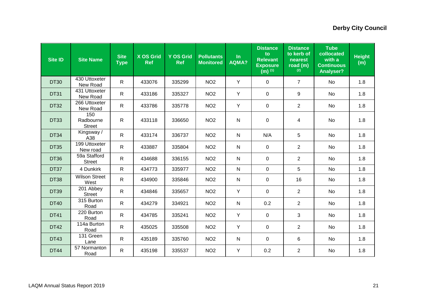| <b>Site ID</b> | <b>Site Name</b>                  | <b>Site</b><br><b>Type</b> | <b>X OS Grid</b><br><b>Ref</b> | <b>Y OS Grid</b><br><b>Ref</b> | <b>Pollutants</b><br><b>Monitored</b> | In<br><b>AQMA?</b> | <b>Distance</b><br>to<br><b>Relevant</b><br><b>Exposure</b><br>$(m)$ <sup>(1)</sup> | <b>Distance</b><br>to kerb of<br>nearest<br>road (m)<br>(2) | <b>Tube</b><br>collocated<br>with a<br><b>Continuous</b><br><b>Analyser?</b> | <b>Height</b><br>(m) |
|----------------|-----------------------------------|----------------------------|--------------------------------|--------------------------------|---------------------------------------|--------------------|-------------------------------------------------------------------------------------|-------------------------------------------------------------|------------------------------------------------------------------------------|----------------------|
| <b>DT30</b>    | 430 Uttoxeter<br>New Road         | $\mathsf{R}$               | 433076                         | 335299                         | NO <sub>2</sub>                       | Y                  | $\mathbf 0$                                                                         | $\overline{7}$                                              | No                                                                           | 1.8                  |
| <b>DT31</b>    | 431 Uttoxeter<br>New Road         | $\mathsf{R}$               | 433186                         | 335327                         | NO <sub>2</sub>                       | Y                  | 0                                                                                   | 9                                                           | <b>No</b>                                                                    | 1.8                  |
| <b>DT32</b>    | 266 Uttoxeter<br>New Road         | ${\sf R}$                  | 433786                         | 335778                         | NO <sub>2</sub>                       | Y                  | $\pmb{0}$                                                                           | $\overline{2}$                                              | No                                                                           | 1.8                  |
| <b>DT33</b>    | 150<br>Radbourne<br><b>Street</b> | R.                         | 433118                         | 336650                         | NO <sub>2</sub>                       | ${\sf N}$          | $\mathbf 0$                                                                         | 4                                                           | <b>No</b>                                                                    | 1.8                  |
| <b>DT34</b>    | Kingsway /<br>A38                 | $\mathsf{R}$               | 433174                         | 336737                         | NO <sub>2</sub>                       | ${\sf N}$          | N/A                                                                                 | 5                                                           | <b>No</b>                                                                    | 1.8                  |
| <b>DT35</b>    | 199 Uttoxeter<br>New road         | $\mathsf{R}$               | 433887                         | 335804                         | NO <sub>2</sub>                       | $\mathsf{N}$       | $\mathbf 0$                                                                         | $\overline{2}$                                              | <b>No</b>                                                                    | 1.8                  |
| <b>DT36</b>    | 59a Stafford<br><b>Street</b>     | $\mathsf{R}$               | 434688                         | 336155                         | NO <sub>2</sub>                       | $\mathsf{N}$       | 0                                                                                   | 2                                                           | No                                                                           | 1.8                  |
| DT37           | 4 Dunkirk                         | $\mathsf{R}$               | 434773                         | 335977                         | NO <sub>2</sub>                       | ${\sf N}$          | $\mathbf 0$                                                                         | 5                                                           | No                                                                           | 1.8                  |
| <b>DT38</b>    | <b>Wilson Street</b><br>West      | $\mathsf{R}$               | 434900                         | 335846                         | NO <sub>2</sub>                       | $\mathsf{N}$       | 0                                                                                   | 16                                                          | <b>No</b>                                                                    | 1.8                  |
| <b>DT39</b>    | 201 Abbey<br><b>Street</b>        | R                          | 434846                         | 335657                         | NO <sub>2</sub>                       | Y                  | $\mathbf 0$                                                                         | $\overline{2}$                                              | No                                                                           | 1.8                  |
| <b>DT40</b>    | 315 Burton<br>Road                | $\mathsf{R}$               | 434279                         | 334921                         | NO <sub>2</sub>                       | ${\sf N}$          | 0.2                                                                                 | $\overline{2}$                                              | <b>No</b>                                                                    | 1.8                  |
| <b>DT41</b>    | $220$ Burton<br>Road              | $\mathsf{R}$               | 434785                         | 335241                         | NO <sub>2</sub>                       | Y                  | $\mathbf 0$                                                                         | 3                                                           | No                                                                           | 1.8                  |
| <b>DT42</b>    | 114a Burton<br>Road               | $\mathsf{R}$               | 435025                         | 335508                         | NO <sub>2</sub>                       | Y                  | $\mathbf 0$                                                                         | $\overline{2}$                                              | No                                                                           | 1.8                  |
| <b>DT43</b>    | 131 Green<br>Lane                 | $\mathsf{R}$               | 435189                         | 335760                         | NO <sub>2</sub>                       | $\mathsf{N}$       | 0                                                                                   | 6                                                           | No                                                                           | 1.8                  |
| <b>DT44</b>    | 57 Normanton<br>Road              | R                          | 435198                         | 335537                         | NO <sub>2</sub>                       | Y                  | 0.2                                                                                 | $\overline{2}$                                              | <b>No</b>                                                                    | 1.8                  |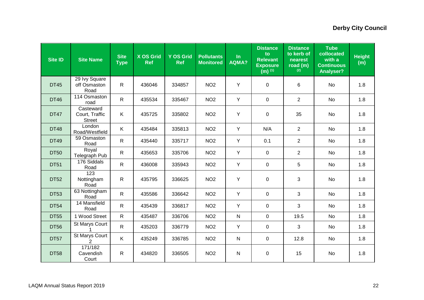| <b>Site ID</b> | <b>Site Name</b>                             | <b>Site</b><br><b>Type</b> | <b>X OS Grid</b><br><b>Ref</b> | <b>Y OS Grid</b><br><b>Ref</b> | <b>Pollutants</b><br><b>Monitored</b> | $\ln$<br><b>AQMA?</b> | <b>Distance</b><br>to<br><b>Relevant</b><br><b>Exposure</b><br>$(m)$ <sup>(1)</sup> | <b>Distance</b><br>to kerb of<br>nearest<br>road (m)<br>(2) | <b>Tube</b><br>collocated<br>with a<br><b>Continuous</b><br><b>Analyser?</b> | <b>Height</b><br>(m) |
|----------------|----------------------------------------------|----------------------------|--------------------------------|--------------------------------|---------------------------------------|-----------------------|-------------------------------------------------------------------------------------|-------------------------------------------------------------|------------------------------------------------------------------------------|----------------------|
| <b>DT45</b>    | 29 Ivy Square<br>off Osmaston<br>Road        | $\mathsf{R}$               | 436046                         | 334857                         | NO <sub>2</sub>                       | Y                     | $\mathbf 0$                                                                         | 6                                                           | <b>No</b>                                                                    | 1.8                  |
| <b>DT46</b>    | 114 Osmaston<br>road                         | $\mathsf{R}$               | 435534                         | 335467                         | NO <sub>2</sub>                       | Y                     | $\mathbf 0$                                                                         | $\overline{2}$                                              | No                                                                           | 1.8                  |
| <b>DT47</b>    | Casteward<br>Court, Traffic<br><b>Street</b> | Κ                          | 435725                         | 335802                         | NO <sub>2</sub>                       | Y                     | $\mathbf 0$                                                                         | 35                                                          | No                                                                           | 1.8                  |
| <b>DT48</b>    | London<br>Road/Westfield                     | K.                         | 435484                         | 335813                         | NO <sub>2</sub>                       | Y                     | N/A                                                                                 | $\overline{2}$                                              | No                                                                           | 1.8                  |
| <b>DT49</b>    | 59 Osmaston<br>Road                          | ${\sf R}$                  | 435440                         | 335717                         | NO <sub>2</sub>                       | Y                     | 0.1                                                                                 | $\overline{2}$                                              | No                                                                           | 1.8                  |
| <b>DT50</b>    | Royal<br>Telegraph Pub                       | ${\sf R}$                  | 435653                         | 335706                         | NO <sub>2</sub>                       | Y                     | $\mathbf 0$                                                                         | $\overline{2}$                                              | No                                                                           | 1.8                  |
| <b>DT51</b>    | 176 Siddals<br>Road                          | $\mathsf{R}$               | 436008                         | 335943                         | NO <sub>2</sub>                       | Y                     | $\mathbf 0$                                                                         | 5                                                           | No                                                                           | 1.8                  |
| <b>DT52</b>    | 123<br>Nottingham<br>Road                    | $\mathsf{R}$               | 435795                         | 336625                         | NO <sub>2</sub>                       | Y                     | $\mathbf 0$                                                                         | 3                                                           | No                                                                           | 1.8                  |
| <b>DT53</b>    | 63 Nottingham<br>Road                        | $\mathsf{R}$               | 435586                         | 336642                         | NO <sub>2</sub>                       | Y                     | 0                                                                                   | 3                                                           | No                                                                           | 1.8                  |
| <b>DT54</b>    | 14 Mansfield<br>Road                         | $\mathsf{R}$               | 435439                         | 336817                         | NO <sub>2</sub>                       | Y                     | $\pmb{0}$                                                                           | 3                                                           | No                                                                           | 1.8                  |
| <b>DT55</b>    | 1 Wood Street                                | $\mathsf{R}$               | 435487                         | 336706                         | NO <sub>2</sub>                       | ${\sf N}$             | $\mathsf 0$                                                                         | 19.5                                                        | <b>No</b>                                                                    | 1.8                  |
| <b>DT56</b>    | St Marys Court                               | $\mathsf{R}$               | 435203                         | 336779                         | NO <sub>2</sub>                       | Y                     | $\mathsf 0$                                                                         | 3                                                           | No                                                                           | 1.8                  |
| <b>DT57</b>    | St Marys Court<br>$\overline{2}$             | K                          | 435249                         | 336785                         | NO <sub>2</sub>                       | ${\sf N}$             | $\mathbf 0$                                                                         | 12.8                                                        | No                                                                           | 1.8                  |
| <b>DT58</b>    | 171/182<br>Cavendish<br>Court                | $\mathsf{R}$               | 434820                         | 336505                         | NO <sub>2</sub>                       | ${\sf N}$             | $\pmb{0}$                                                                           | 15                                                          | No                                                                           | 1.8                  |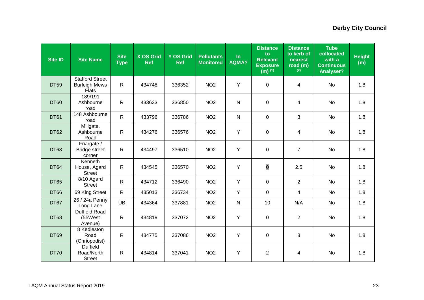| <b>Site ID</b> | <b>Site Name</b>                                               | <b>Site</b><br><b>Type</b> | <b>X OS Grid</b><br><b>Ref</b> | <b>Y OS Grid</b><br><b>Ref</b> | <b>Pollutants</b><br><b>Monitored</b> | $\ln$<br>AQMA? | <b>Distance</b><br>to<br><b>Relevant</b><br><b>Exposure</b><br>$(m)$ <sup>(1)</sup> | <b>Distance</b><br>to kerb of<br>nearest<br>road (m)<br>(2) | <b>Tube</b><br>collocated<br>with a<br><b>Continuous</b><br><b>Analyser?</b> | <b>Height</b><br>(m) |
|----------------|----------------------------------------------------------------|----------------------------|--------------------------------|--------------------------------|---------------------------------------|----------------|-------------------------------------------------------------------------------------|-------------------------------------------------------------|------------------------------------------------------------------------------|----------------------|
| <b>DT59</b>    | <b>Stafford Street</b><br><b>Burleigh Mews</b><br><b>Flats</b> | $\mathsf{R}$               | 434748                         | 336352                         | NO <sub>2</sub>                       | Y              | $\mathbf 0$                                                                         | 4                                                           | <b>No</b>                                                                    | 1.8                  |
| <b>DT60</b>    | 189/191<br>Ashbourne<br>road                                   | $\mathsf{R}$               | 433633                         | 336850                         | NO <sub>2</sub>                       | $\mathsf{N}$   | $\mathbf 0$                                                                         | $\overline{4}$                                              | <b>No</b>                                                                    | 1.8                  |
| <b>DT61</b>    | 148 Ashbourne<br>road                                          | $\mathsf{R}$               | 433796                         | 336786                         | NO <sub>2</sub>                       | $\mathsf{N}$   | $\mathbf 0$                                                                         | $\mathbf{3}$                                                | No                                                                           | 1.8                  |
| <b>DT62</b>    | Millgate,<br>Ashbourne<br>Road                                 | $\mathsf{R}$               | 434276                         | 336576                         | NO <sub>2</sub>                       | Y              | $\boldsymbol{0}$                                                                    | 4                                                           | No                                                                           | 1.8                  |
| <b>DT63</b>    | Friargate /<br><b>Bridge street</b><br>corner                  | $\mathsf{R}$               | 434497                         | 336510                         | NO <sub>2</sub>                       | Y              | $\mathbf 0$                                                                         | $\overline{7}$                                              | <b>No</b>                                                                    | 1.8                  |
| <b>DT64</b>    | Kenneth<br>House, Agard<br><b>Street</b>                       | $\mathsf{R}$               | 434545                         | 336570                         | NO <sub>2</sub>                       | Y              | $\overline{0}$                                                                      | 2.5                                                         | No                                                                           | 1.8                  |
| <b>DT65</b>    | 8/10 Agard<br><b>Street</b>                                    | $\mathsf{R}$               | 434712                         | 336490                         | NO <sub>2</sub>                       | Y              | $\mathbf 0$                                                                         | 2                                                           | No                                                                           | 1.8                  |
| <b>DT66</b>    | 69 King Street                                                 | $\mathsf{R}$               | 435013                         | 336734                         | NO <sub>2</sub>                       | Y              | $\mathbf 0$                                                                         | $\overline{4}$                                              | No                                                                           | 1.8                  |
| DT67           | $\overline{26}$ / 24a Penny<br>Long Lane                       | <b>UB</b>                  | 434364                         | 337881                         | NO <sub>2</sub>                       | ${\sf N}$      | 10                                                                                  | N/A                                                         | No                                                                           | 1.8                  |
| <b>DT68</b>    | <b>Duffield Road</b><br>(55West<br>Avenue)                     | $\mathsf{R}$               | 434819                         | 337072                         | NO <sub>2</sub>                       | Y              | $\pmb{0}$                                                                           | $\overline{2}$                                              | No                                                                           | 1.8                  |
| <b>DT69</b>    | 8 Kedleston<br>Road<br>(Chriopodist)                           | $\mathsf{R}$               | 434775                         | 337086                         | NO <sub>2</sub>                       | Y              | $\pmb{0}$                                                                           | 8                                                           | <b>No</b>                                                                    | 1.8                  |
| <b>DT70</b>    | <b>Duffield</b><br>Road/North<br><b>Street</b>                 | $\mathsf{R}$               | 434814                         | 337041                         | NO <sub>2</sub>                       | Υ              | $\overline{2}$                                                                      | 4                                                           | <b>No</b>                                                                    | 1.8                  |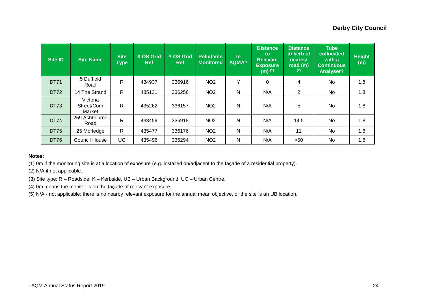| <b>Site ID</b> | <b>Site Name</b>                  | <b>Site</b><br><b>Type</b> | <b>X OS Grid</b><br><b>Ref</b> | <b>Y OS Grid</b><br><b>Ref</b> | <b>Pollutants</b><br><b>Monitored</b> | $\ln$<br><b>AQMA?</b> | <b>Distance</b><br><b>to</b><br><b>Relevant</b><br><b>Exposure</b><br>$(m)$ <sup>(1)</sup> | <b>Distance</b><br>to kerb of<br>nearest<br>road (m)<br>(2) | <b>Tube</b><br>collocated<br>with a<br><b>Continuous</b><br>Analyser? | <b>Height</b><br>(m) |
|----------------|-----------------------------------|----------------------------|--------------------------------|--------------------------------|---------------------------------------|-----------------------|--------------------------------------------------------------------------------------------|-------------------------------------------------------------|-----------------------------------------------------------------------|----------------------|
| <b>DT71</b>    | 5 Duffield<br>Road                | $\mathsf{R}$               | 434937                         | 336916                         | NO <sub>2</sub>                       | Υ                     | 0                                                                                          | 4                                                           | No                                                                    | 1.8                  |
| <b>DT72</b>    | 14 The Strand                     | $\mathsf{R}$               | 435131                         | 336256                         | NO <sub>2</sub>                       | N                     | N/A                                                                                        | $\overline{2}$                                              | <b>No</b>                                                             | 1.8                  |
| <b>DT73</b>    | Victoria<br>Street/Corn<br>Market | R                          | 435262                         | 336157                         | NO <sub>2</sub>                       | N                     | N/A                                                                                        | 5                                                           | <b>No</b>                                                             | 1.8                  |
| <b>DT74</b>    | 259 Ashbourne<br>Road             | $\mathsf{R}$               | 433459                         | 336918                         | NO <sub>2</sub>                       | Ν                     | N/A                                                                                        | 14.5                                                        | No                                                                    | 1.8                  |
| <b>DT75</b>    | 25 Morledge                       | $\mathsf{R}$               | 435477                         | 336176                         | NO <sub>2</sub>                       | N                     | N/A                                                                                        | 11                                                          | <b>No</b>                                                             | 1.8                  |
| <b>DT76</b>    | <b>Council House</b>              | UC.                        | 435496                         | 336294                         | NO <sub>2</sub>                       | Ν                     | N/A                                                                                        | >50                                                         | No                                                                    | 1.8                  |

#### **Notes:**

(1) 0m if the monitoring site is at a location of exposure (e.g. installed on/adjacent to the façade of a residential property).

(2) N/A if not applicable.

(3) Site type: R – Roadside, K – Kerbside, UB – Urban Background, UC – Urban Centre.

(4) 0m means the monitor is on the façade of relevant exposure.

(5) N/A - not applicable; there is no nearby relevant exposure for the annual mean objective, or the site is an UB location.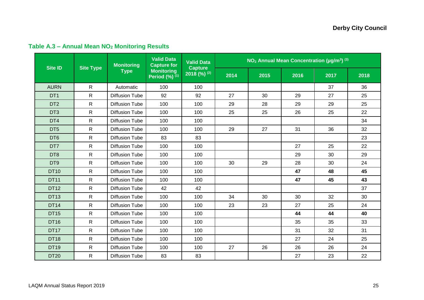<span id="page-33-0"></span>

|                 | <b>Monitoring</b><br><b>Site ID</b><br><b>Site Type</b><br><b>Type</b> |                       |                                          | <b>Valid Data</b>                     | $NO2$ Annual Mean Concentration ( $\mu$ g/m <sup>3</sup> ) <sup>(3)</sup> |      |      |      |      |  |
|-----------------|------------------------------------------------------------------------|-----------------------|------------------------------------------|---------------------------------------|---------------------------------------------------------------------------|------|------|------|------|--|
|                 |                                                                        |                       | <b>Monitoring</b><br>Period $(\%)^{(1)}$ | <b>Capture</b><br>$2018^{(96)^{(2)}}$ | 2014                                                                      | 2015 | 2016 | 2017 | 2018 |  |
| <b>AURN</b>     | $\mathsf{R}$                                                           | Automatic             | 100                                      | 100                                   |                                                                           |      |      | 37   | 36   |  |
| DT <sub>1</sub> | $\mathsf{R}$                                                           | <b>Diffusion Tube</b> | 92                                       | 92                                    | 27                                                                        | 30   | 29   | 27   | 25   |  |
| DT <sub>2</sub> | $\mathsf{R}$                                                           | <b>Diffusion Tube</b> | 100                                      | 100                                   | 29                                                                        | 28   | 29   | 29   | 25   |  |
| DT <sub>3</sub> | $\mathsf{R}$                                                           | <b>Diffusion Tube</b> | 100                                      | 100                                   | 25                                                                        | 25   | 26   | 25   | 22   |  |
| DT4             | $\mathsf{R}$                                                           | <b>Diffusion Tube</b> | 100                                      | 100                                   |                                                                           |      |      |      | 34   |  |
| DT <sub>5</sub> | $\mathsf{R}$                                                           | <b>Diffusion Tube</b> | 100                                      | 100                                   | 29                                                                        | 27   | 31   | 36   | 32   |  |
| DT <sub>6</sub> | $\mathsf{R}$                                                           | <b>Diffusion Tube</b> | 83                                       | 83                                    |                                                                           |      |      |      | 23   |  |
| DT7             | $\mathsf{R}$                                                           | <b>Diffusion Tube</b> | 100                                      | 100                                   |                                                                           |      | 27   | 25   | 22   |  |
| DT <sub>8</sub> | $\mathsf{R}$                                                           | <b>Diffusion Tube</b> | 100                                      | 100                                   |                                                                           |      | 29   | 30   | 29   |  |
| DT9             | $\mathsf{R}$                                                           | <b>Diffusion Tube</b> | 100                                      | 100                                   | 30                                                                        | 29   | 28   | 30   | 24   |  |
| <b>DT10</b>     | $\mathsf{R}$                                                           | <b>Diffusion Tube</b> | 100                                      | 100                                   |                                                                           |      | 47   | 48   | 45   |  |
| <b>DT11</b>     | $\mathsf{R}$                                                           | <b>Diffusion Tube</b> | 100                                      | 100                                   |                                                                           |      | 47   | 45   | 43   |  |
| <b>DT12</b>     | $\mathsf{R}$                                                           | <b>Diffusion Tube</b> | 42                                       | 42                                    |                                                                           |      |      |      | 37   |  |
| <b>DT13</b>     | $\mathsf{R}$                                                           | <b>Diffusion Tube</b> | 100                                      | 100                                   | 34                                                                        | 30   | 30   | 32   | 30   |  |
| <b>DT14</b>     | $\mathsf{R}$                                                           | <b>Diffusion Tube</b> | 100                                      | 100                                   | 23                                                                        | 23   | 27   | 25   | 24   |  |
| <b>DT15</b>     | $\mathsf{R}$                                                           | <b>Diffusion Tube</b> | 100                                      | 100                                   |                                                                           |      | 44   | 44   | 40   |  |
| <b>DT16</b>     | $\mathsf{R}$                                                           | <b>Diffusion Tube</b> | 100                                      | 100                                   |                                                                           |      | 35   | 35   | 33   |  |
| <b>DT17</b>     | $\mathsf{R}$                                                           | <b>Diffusion Tube</b> | 100                                      | 100                                   |                                                                           |      | 31   | 32   | 31   |  |
| <b>DT18</b>     | $\mathsf{R}$                                                           | <b>Diffusion Tube</b> | 100                                      | 100                                   |                                                                           |      | 27   | 24   | 25   |  |
| <b>DT19</b>     | $\mathsf{R}$                                                           | <b>Diffusion Tube</b> | 100                                      | 100                                   | 27                                                                        | 26   | 26   | 26   | 24   |  |
| <b>DT20</b>     | R                                                                      | <b>Diffusion Tube</b> | 83                                       | 83                                    |                                                                           |      | 27   | 23   | 22   |  |

## **Table A.3 – Annual Mean NO<sup>2</sup> Monitoring Results**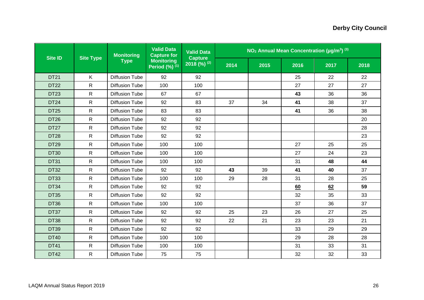|                |                  | <b>Monitoring</b>     | <b>Valid Data</b><br><b>Capture for</b>                        | <b>Valid Data</b>       |      | $NO2$ Annual Mean Concentration ( $\mu$ g/m <sup>3</sup> ) <sup>(3)</sup> |      |      |      |
|----------------|------------------|-----------------------|----------------------------------------------------------------|-------------------------|------|---------------------------------------------------------------------------|------|------|------|
| <b>Site ID</b> | <b>Site Type</b> | <b>Type</b>           | <b>Monitoring</b><br>Period $(\%)$ <sup><math>(1)</math></sup> | Capture<br>2018 (%) (2) | 2014 | 2015                                                                      | 2016 | 2017 | 2018 |
| <b>DT21</b>    | K.               | <b>Diffusion Tube</b> | 92                                                             | 92                      |      |                                                                           | 25   | 22   | 22   |
| <b>DT22</b>    | $\mathsf{R}$     | <b>Diffusion Tube</b> | 100                                                            | 100                     |      |                                                                           | 27   | 27   | 27   |
| <b>DT23</b>    | $\mathsf{R}$     | <b>Diffusion Tube</b> | 67                                                             | 67                      |      |                                                                           | 43   | 36   | 36   |
| <b>DT24</b>    | $\mathsf{R}$     | <b>Diffusion Tube</b> | 92                                                             | 83                      | 37   | 34                                                                        | 41   | 38   | 37   |
| <b>DT25</b>    | $\mathsf{R}$     | <b>Diffusion Tube</b> | 83                                                             | 83                      |      |                                                                           | 41   | 36   | 38   |
| <b>DT26</b>    | R                | <b>Diffusion Tube</b> | 92                                                             | 92                      |      |                                                                           |      |      | 20   |
| <b>DT27</b>    | $\mathsf{R}$     | <b>Diffusion Tube</b> | 92                                                             | 92                      |      |                                                                           |      |      | 28   |
| <b>DT28</b>    | R                | <b>Diffusion Tube</b> | 92                                                             | 92                      |      |                                                                           |      |      | 23   |
| <b>DT29</b>    | R                | <b>Diffusion Tube</b> | 100                                                            | 100                     |      |                                                                           | 27   | 25   | 25   |
| <b>DT30</b>    | $\mathsf{R}$     | <b>Diffusion Tube</b> | 100                                                            | 100                     |      |                                                                           | 27   | 24   | 23   |
| <b>DT31</b>    | $\mathsf{R}$     | <b>Diffusion Tube</b> | 100                                                            | 100                     |      |                                                                           | 31   | 48   | 44   |
| <b>DT32</b>    | $\mathsf{R}$     | <b>Diffusion Tube</b> | 92                                                             | 92                      | 43   | 39                                                                        | 41   | 40   | 37   |
| <b>DT33</b>    | R                | <b>Diffusion Tube</b> | 100                                                            | 100                     | 29   | 28                                                                        | 31   | 28   | 25   |
| <b>DT34</b>    | $\mathsf{R}$     | <b>Diffusion Tube</b> | 92                                                             | 92                      |      |                                                                           | 60   | 62   | 59   |
| <b>DT35</b>    | $\mathsf{R}$     | <b>Diffusion Tube</b> | 92                                                             | 92                      |      |                                                                           | 32   | 35   | 33   |
| <b>DT36</b>    | $\mathsf{R}$     | <b>Diffusion Tube</b> | 100                                                            | 100                     |      |                                                                           | 37   | 36   | 37   |
| DT37           | $\mathsf{R}$     | <b>Diffusion Tube</b> | 92                                                             | 92                      | 25   | 23                                                                        | 26   | 27   | 25   |
| <b>DT38</b>    | R                | <b>Diffusion Tube</b> | 92                                                             | 92                      | 22   | 21                                                                        | 23   | 23   | 21   |
| <b>DT39</b>    | $\mathsf{R}$     | <b>Diffusion Tube</b> | 92                                                             | 92                      |      |                                                                           | 33   | 29   | 29   |
| <b>DT40</b>    | $\mathsf{R}$     | <b>Diffusion Tube</b> | 100                                                            | 100                     |      |                                                                           | 29   | 28   | 28   |
| <b>DT41</b>    | R                | <b>Diffusion Tube</b> | 100                                                            | 100                     |      |                                                                           | 31   | 33   | 31   |
| <b>DT42</b>    | $\mathsf{R}$     | <b>Diffusion Tube</b> | 75                                                             | 75                      |      |                                                                           | 32   | 32   | 33   |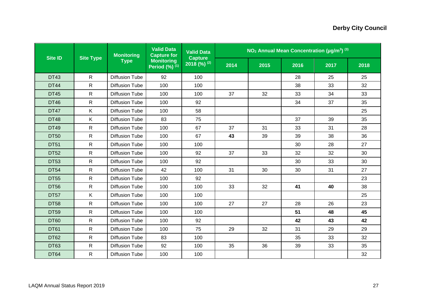| <b>Site ID</b> |                  | <b>Monitoring</b>     | <b>Valid Data</b><br><b>Capture for</b>                        | <b>Valid Data</b>                           |      |      |      | $NO2$ Annual Mean Concentration ( $\mu$ g/m <sup>3</sup> ) <sup>(3)</sup> |      |
|----------------|------------------|-----------------------|----------------------------------------------------------------|---------------------------------------------|------|------|------|---------------------------------------------------------------------------|------|
|                | <b>Site Type</b> | <b>Type</b>           | <b>Monitoring</b><br>Period $(\%)$ <sup><math>(1)</math></sup> | <b>Capture</b><br>$2018$ (%) <sup>(2)</sup> | 2014 | 2015 | 2016 | 2017                                                                      | 2018 |
| <b>DT43</b>    | $\mathsf{R}$     | <b>Diffusion Tube</b> | 92                                                             | 100                                         |      |      | 28   | 25                                                                        | 25   |
| <b>DT44</b>    | $\mathsf{R}$     | <b>Diffusion Tube</b> | 100                                                            | 100                                         |      |      | 38   | 33                                                                        | 32   |
| <b>DT45</b>    | $\mathsf{R}$     | <b>Diffusion Tube</b> | 100                                                            | 100                                         | 37   | 32   | 33   | 34                                                                        | 33   |
| <b>DT46</b>    | $\mathsf{R}$     | <b>Diffusion Tube</b> | 100                                                            | 92                                          |      |      | 34   | 37                                                                        | 35   |
| <b>DT47</b>    | K.               | <b>Diffusion Tube</b> | 100                                                            | 58                                          |      |      |      |                                                                           | 25   |
| <b>DT48</b>    | K.               | <b>Diffusion Tube</b> | 83                                                             | 75                                          |      |      | 37   | 39                                                                        | 35   |
| <b>DT49</b>    | R                | <b>Diffusion Tube</b> | 100                                                            | 67                                          | 37   | 31   | 33   | 31                                                                        | 28   |
| <b>DT50</b>    | R                | <b>Diffusion Tube</b> | 100                                                            | 67                                          | 43   | 39   | 39   | 38                                                                        | 36   |
| <b>DT51</b>    | $\mathsf{R}$     | <b>Diffusion Tube</b> | 100                                                            | 100                                         |      |      | 30   | 28                                                                        | 27   |
| <b>DT52</b>    | $\mathsf{R}$     | <b>Diffusion Tube</b> | 100                                                            | 92                                          | 37   | 33   | 32   | 32                                                                        | 30   |
| <b>DT53</b>    | $\mathsf{R}$     | <b>Diffusion Tube</b> | 100                                                            | 92                                          |      |      | 30   | 33                                                                        | 30   |
| <b>DT54</b>    | $\mathsf{R}$     | <b>Diffusion Tube</b> | 42                                                             | 100                                         | 31   | 30   | 30   | 31                                                                        | 27   |
| <b>DT55</b>    | $\mathsf{R}$     | <b>Diffusion Tube</b> | 100                                                            | 92                                          |      |      |      |                                                                           | 23   |
| <b>DT56</b>    | $\mathsf{R}$     | <b>Diffusion Tube</b> | 100                                                            | 100                                         | 33   | 32   | 41   | 40                                                                        | 38   |
| <b>DT57</b>    | K.               | <b>Diffusion Tube</b> | 100                                                            | 100                                         |      |      |      |                                                                           | 25   |
| <b>DT58</b>    | $\mathsf{R}$     | <b>Diffusion Tube</b> | 100                                                            | 100                                         | 27   | 27   | 28   | 26                                                                        | 23   |
| <b>DT59</b>    | $\mathsf{R}$     | <b>Diffusion Tube</b> | 100                                                            | 100                                         |      |      | 51   | 48                                                                        | 45   |
| <b>DT60</b>    | R                | <b>Diffusion Tube</b> | 100                                                            | 92                                          |      |      | 42   | 43                                                                        | 42   |
| <b>DT61</b>    | R                | <b>Diffusion Tube</b> | 100                                                            | 75                                          | 29   | 32   | 31   | 29                                                                        | 29   |
| <b>DT62</b>    | $\mathsf{R}$     | <b>Diffusion Tube</b> | 83                                                             | 100                                         |      |      | 35   | 33                                                                        | 32   |
| <b>DT63</b>    | R                | <b>Diffusion Tube</b> | 92                                                             | 100                                         | 35   | 36   | 39   | 33                                                                        | 35   |
| <b>DT64</b>    | R                | <b>Diffusion Tube</b> | 100                                                            | 100                                         |      |      |      |                                                                           | 32   |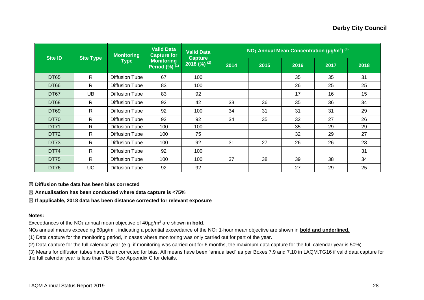| <b>Site ID</b> | <b>Site Type</b> | <b>Monitoring</b><br><b>Type</b> | <b>Valid Data</b><br><b>Capture for</b>                        | <b>Valid Data</b><br><b>Capture</b> | $NO2$ Annual Mean Concentration ( $\mu$ g/m <sup>3</sup> ) <sup>(3)</sup> |      |      |      |      |  |  |
|----------------|------------------|----------------------------------|----------------------------------------------------------------|-------------------------------------|---------------------------------------------------------------------------|------|------|------|------|--|--|
|                |                  |                                  | <b>Monitoring</b><br>Period $(\%)$ <sup><math>(1)</math></sup> | $2018$ (%) <sup>(2)</sup>           | 2014                                                                      | 2015 | 2016 | 2017 | 2018 |  |  |
| <b>DT65</b>    | $\mathsf{R}$     | Diffusion Tube                   | 67                                                             | 100                                 |                                                                           |      | 35   | 35   | 31   |  |  |
| <b>DT66</b>    | $\mathsf{R}$     | <b>Diffusion Tube</b>            | 83                                                             | 100                                 |                                                                           |      | 26   | 25   | 25   |  |  |
| DT67           | UB               | Diffusion Tube                   | 83                                                             | 92                                  |                                                                           |      | 17   | 16   | 15   |  |  |
| <b>DT68</b>    | $\mathsf{R}$     | Diffusion Tube                   | 92                                                             | 42                                  | 38                                                                        | 36   | 35   | 36   | 34   |  |  |
| <b>DT69</b>    | $\mathsf{R}$     | Diffusion Tube                   | 92                                                             | 100                                 | 34                                                                        | 31   | 31   | 31   | 29   |  |  |
| <b>DT70</b>    | $\mathsf{R}$     | <b>Diffusion Tube</b>            | 92                                                             | 92                                  | 34                                                                        | 35   | 32   | 27   | 26   |  |  |
| <b>DT71</b>    | $\mathsf{R}$     | <b>Diffusion Tube</b>            | 100                                                            | 100                                 |                                                                           |      | 35   | 29   | 29   |  |  |
| DT72           | $\mathsf{R}$     | Diffusion Tube                   | 100                                                            | 75                                  |                                                                           |      | 32   | 29   | 27   |  |  |
| <b>DT73</b>    | $\mathsf{R}$     | Diffusion Tube                   | 100                                                            | 92                                  | 31                                                                        | 27   | 26   | 26   | 23   |  |  |
| <b>DT74</b>    | $\mathsf{R}$     | Diffusion Tube                   | 92                                                             | 100                                 |                                                                           |      |      |      | 31   |  |  |
| <b>DT75</b>    | $\mathsf{R}$     | <b>Diffusion Tube</b>            | 100                                                            | 100                                 | 37                                                                        | 38   | 39   | 38   | 34   |  |  |
| DT76           | UC               | Diffusion Tube                   | 92                                                             | 92                                  |                                                                           |      | 27   | 29   | 25   |  |  |

☒ **Diffusion tube data has been bias corrected**

☒ **Annualisation has been conducted where data capture is <75%**

☒ **If applicable, 2018 data has been distance corrected for relevant exposure**

#### **Notes:**

Exceedances of the NO<sub>2</sub> annual mean objective of  $40\mu$ g/m<sup>3</sup> are shown in **bold**.

NO<sub>2</sub> annual means exceeding 60µg/m<sup>3</sup>, indicating a potential exceedance of the NO<sub>2</sub> 1-hour mean objective are shown in **bold and underlined.** 

(1) Data capture for the monitoring period, in cases where monitoring was only carried out for part of the year.

(2) Data capture for the full calendar year (e.g. if monitoring was carried out for 6 months, the maximum data capture for the full calendar year is 50%).

(3) Means for diffusion tubes have been corrected for bias. All means have been "annualised" as per Boxes 7.9 and 7.10 in LAQM.TG16 if valid data capture for the full calendar year is less than 75%. See Appendix C for details.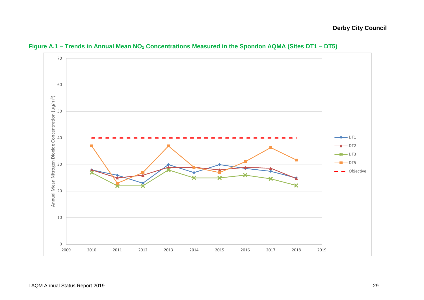<span id="page-37-0"></span>

**Figure A.1 – Trends in Annual Mean NO<sup>2</sup> Concentrations Measured in the Spondon AQMA (Sites DT1 – DT5)**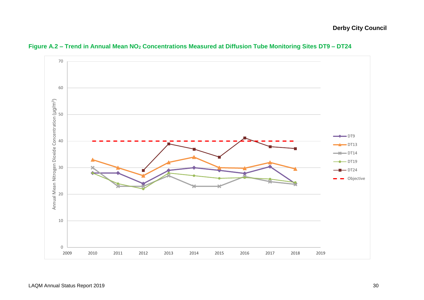<span id="page-38-0"></span>

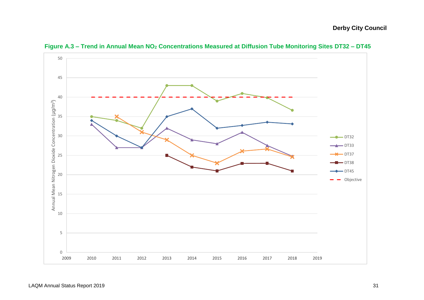<span id="page-39-0"></span>

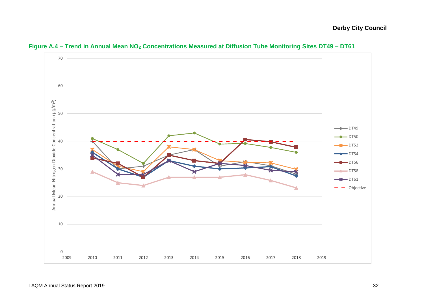<span id="page-40-0"></span>

**Figure A.4 – Trend in Annual Mean NO<sup>2</sup> Concentrations Measured at Diffusion Tube Monitoring Sites DT49 – DT61**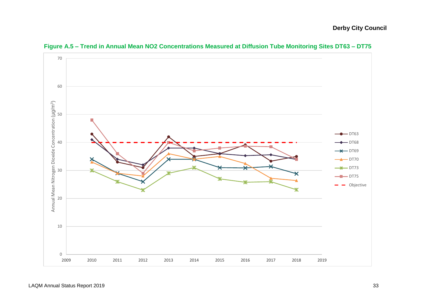<span id="page-41-0"></span>

**Figure A.5 – Trend in Annual Mean NO2 Concentrations Measured at Diffusion Tube Monitoring Sites DT63 – DT75**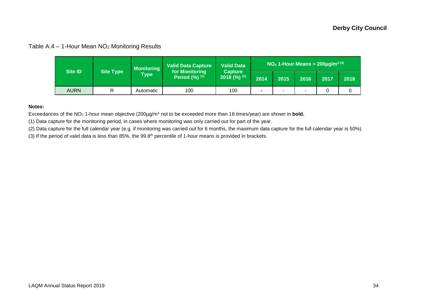### Table A.4 – 1-Hour Mean NO<sup>2</sup> Monitoring Results

| <b>Site ID</b> | <b>Site Type</b> | <b>Monitoring</b> | <b>Valid Data Capture</b><br>for Monitoring | <b>Valid Data</b>               | <b>NO<sub>2</sub> 1-Hour Means &gt; 200µg/m<sup>3(3)</sup></b> |   |                          |      |      |  |
|----------------|------------------|-------------------|---------------------------------------------|---------------------------------|----------------------------------------------------------------|---|--------------------------|------|------|--|
|                |                  | Type \            | Period $(\%)$ $(1)$                         | <b>Capture</b><br>2018 $(%)(2)$ | 2014<br>2015                                                   |   | 2016                     | 2017 | 2018 |  |
| <b>AURN</b>    | R                | Automatic         | 100                                         | 100                             | $\blacksquare$                                                 | - | $\overline{\phantom{0}}$ |      |      |  |

#### **Notes:**

Exceedances of the NO<sup>2</sup> 1-hour mean objective (200µg/m<sup>3</sup> not to be exceeded more than 18 times/year) are shown in **bold.**

(1) Data capture for the monitoring period, in cases where monitoring was only carried out for part of the year.

(2) Data capture for the full calendar year (e.g. if monitoring was carried out for 6 months, the maximum data capture for the full calendar year is 50%).

<span id="page-42-0"></span>(3) If the period of valid data is less than 85%, the 99.8<sup>th</sup> percentile of 1-hour means is provided in brackets.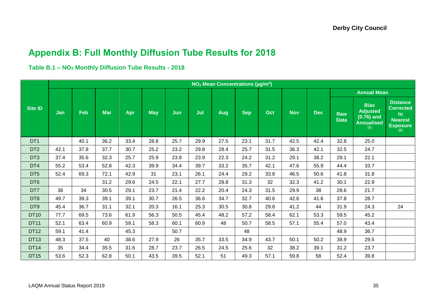## **Appendix B: Full Monthly Diffusion Tube Results for 2018**

**Table B.1 – NO<sup>2</sup> Monthly Diffusion Tube Results - 2018**

<span id="page-43-0"></span>

|                 | NO <sub>2</sub> Mean Concentrations (µg/m <sup>3</sup> ) |            |            |      |            |      |      |                    |            |      |            |            |                           |                                                                            |                                                                                       |
|-----------------|----------------------------------------------------------|------------|------------|------|------------|------|------|--------------------|------------|------|------------|------------|---------------------------|----------------------------------------------------------------------------|---------------------------------------------------------------------------------------|
|                 |                                                          |            |            |      |            |      |      | <b>Annual Mean</b> |            |      |            |            |                           |                                                                            |                                                                                       |
| <b>Site ID</b>  | Jan                                                      | <b>Feb</b> | <b>Mar</b> | Apr  | <b>May</b> | Jun  | Jul  | Aug                | <b>Sep</b> | Oct  | <b>Nov</b> | <b>Dec</b> | <b>Raw</b><br><b>Data</b> | <b>Bias</b><br><b>Adjusted</b><br>$(0.76)$ and<br><b>Annualised</b><br>(1) | <b>Distance</b><br><b>Corrected</b><br>to<br><b>Nearest</b><br><b>Exposure</b><br>(2) |
| DT <sub>1</sub> |                                                          | 40.1       | 36.2       | 33.4 | 28.8       | 25.7 | 29.9 | 27.5               | 23.1       | 31.7 | 42.5       | 42.4       | 32.8                      | 25.0                                                                       |                                                                                       |
| DT <sub>2</sub> | 42.1                                                     | 37.8       | 37.7       | 30.7 | 25.2       | 23.2 | 29.8 | 28.4               | 25.7       | 31.5 | 36.3       | 42.1       | 32.5                      | 24.7                                                                       |                                                                                       |
| DT <sub>3</sub> | 37.4                                                     | 35.6       | 32.3       | 25.7 | 25.9       | 23.8 | 23.9 | 22.3               | 24.2       | 31.2 | 29.1       | 38.2       | 29.1                      | 22.1                                                                       |                                                                                       |
| DT4             | 55.2                                                     | 53.4       | 52.8       | 42.3 | 39.9       | 34.4 | 39.7 | 33.2               | 35.7       | 42.1 | 47.6       | 55.9       | 44.4                      | 33.7                                                                       |                                                                                       |
| DT <sub>5</sub> | 52.4                                                     | 69.3       | 72.1       | 42.9 | 31         | 23.1 | 26.1 | 24.4               | 29.2       | 33.8 | 46.5       | 50.6       | 41.8                      | 31.8                                                                       |                                                                                       |
| DT <sub>6</sub> |                                                          |            | 31.2       | 29.6 | 24.5       | 22.1 | 27.7 | 28.8               | 31.3       | 32   | 32.3       | 41.2       | 30.1                      | 22.9                                                                       |                                                                                       |
| DT7             | 38                                                       | 34         | 30.5       | 29.1 | 23.7       | 21.4 | 22.2 | 20.4               | 24.3       | 31.5 | 29.9       | 38         | 28.6                      | 21.7                                                                       |                                                                                       |
| DT <sub>8</sub> | 49.7                                                     | 39.3       | 39.1       | 39.1 | 30.7       | 26.5 | 36.6 | 34.7               | 32.7       | 40.6 | 42.6       | 41.6       | 37.8                      | 28.7                                                                       |                                                                                       |
| DT <sub>9</sub> | 45.4                                                     | 36.7       | 31.1       | 32.1 | 20.3       | 16.1 | 25.3 | 30.5               | 30.8       | 29.8 | 41.2       | 44         | 31.9                      | 24.3                                                                       | 24                                                                                    |
| <b>DT10</b>     | 77.7                                                     | 69.5       | 73.6       | 61.9 | 56.3       | 50.5 | 45.4 | 48.2               | 57.2       | 58.4 | 62.1       | 53.3       | 59.5                      | 45.2                                                                       |                                                                                       |
| <b>DT11</b>     | 52.1                                                     | 63.4       | 60.9       | 59.1 | 58.3       | 60.1 | 60.9 | 48                 | 50.7       | 58.5 | 57.1       | 55.4       | 57.0                      | 43.4                                                                       |                                                                                       |
| <b>DT12</b>     | 59.1                                                     | 41.4       |            | 45.3 |            | 50.7 |      |                    | 48         |      |            |            | 48.9                      | 36.7                                                                       |                                                                                       |
| <b>DT13</b>     | 48.3                                                     | 37.5       | 40         | 38.6 | 27.9       | 26   | 35.7 | 33.5               | 34.9       | 43.7 | 50.1       | 50.2       | 38.9                      | 29.5                                                                       |                                                                                       |
| <b>DT14</b>     | 35                                                       | 34.4       | 35.5       | 31.6 | 28.7       | 23.7 | 26.5 | 24.5               | 25.6       | 32   | 38.2       | 39.1       | 31.2                      | 23.7                                                                       |                                                                                       |
| <b>DT15</b>     | 53.6                                                     | 52.3       | 62.8       | 50.1 | 43.5       | 39.5 | 52.1 | 51                 | 49.3       | 57.1 | 59.8       | 58         | 52.4                      | 39.8                                                                       |                                                                                       |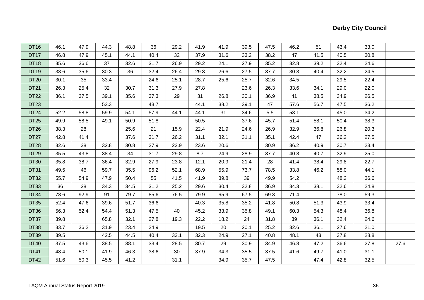| <b>DT16</b>      | 46.1 | 47.9 | 44.3 | 48.8 | 36   | 29.2 | 41.9 | 41.9 | 39.5 | 47.5 | 46.2 | 51   | 43.4 | 33.0 |      |
|------------------|------|------|------|------|------|------|------|------|------|------|------|------|------|------|------|
| DT17             | 46.8 | 47.9 | 45.1 | 44.1 | 40.4 | 32   | 37.9 | 31.6 | 33.2 | 38.2 | 47   | 41.5 | 40.5 | 30.8 |      |
| <b>DT18</b>      | 35.6 | 36.6 | 37   | 32.6 | 31.7 | 26.9 | 29.2 | 24.1 | 27.9 | 35.2 | 32.8 | 39.2 | 32.4 | 24.6 |      |
| <b>DT19</b>      | 33.6 | 35.6 | 30.3 | 36   | 32.4 | 26.4 | 29.3 | 26.6 | 27.5 | 37.7 | 30.3 | 40.4 | 32.2 | 24.5 |      |
| <b>DT20</b>      | 30.1 | 35   | 33.4 |      | 24.6 | 25.1 | 28.7 | 25.6 | 25.7 | 32.6 | 34.5 |      | 29.5 | 22.4 |      |
| DT21             | 26.3 | 25.4 | 32   | 30.7 | 31.3 | 27.9 | 27.8 |      | 23.6 | 26.3 | 33.6 | 34.1 | 29.0 | 22.0 |      |
| DT22             | 36.1 | 37.5 | 39.1 | 35.6 | 37.3 | 29   | 31   | 26.8 | 30.1 | 36.9 | 41   | 38.5 | 34.9 | 26.5 |      |
| DT23             |      |      | 53.3 |      | 43.7 |      | 44.1 | 38.2 | 39.1 | 47   | 57.6 | 56.7 | 47.5 | 36.2 |      |
| DT <sub>24</sub> | 52.2 | 58.8 | 59.9 | 54.1 | 57.9 | 44.1 | 44.1 | 31   | 34.6 | 5.5  | 53.1 |      | 45.0 | 34.2 |      |
| DT25             | 49.9 | 58.5 | 49.1 | 50.9 | 51.8 |      | 50.5 |      | 37.6 | 45.7 | 51.4 | 58.1 | 50.4 | 38.3 |      |
| DT26             | 38.3 | 28   |      | 25.6 | 21   | 15.9 | 22.4 | 21.9 | 24.6 | 26.9 | 32.9 | 36.8 | 26.8 | 20.3 |      |
| DT <sub>27</sub> | 42.8 | 41.4 |      | 37.6 | 31.7 | 26.2 | 31.1 | 32.1 | 31.1 | 35.1 | 42.4 | 47   | 36.2 | 27.5 |      |
| <b>DT28</b>      | 32.6 | 38   | 32.8 | 30.8 | 27.9 | 23.9 | 23.6 | 20.6 |      | 30.9 | 36.2 | 40.9 | 30.7 | 23.4 |      |
| <b>DT29</b>      | 35.5 | 43.8 | 38.4 | 34   | 31.7 | 29.8 | 8.7  | 24.9 | 28.9 | 37.7 | 40.8 | 40.7 | 32.9 | 25.0 |      |
| <b>DT30</b>      | 35.8 | 38.7 | 36.4 | 32.9 | 27.9 | 23.8 | 12.1 | 20.9 | 21.4 | 28   | 41.4 | 38.4 | 29.8 | 22.7 |      |
| <b>DT31</b>      | 49.5 | 46   | 59.7 | 35.5 | 96.2 | 52.1 | 68.9 | 55.9 | 73.7 | 78.5 | 33.8 | 46.2 | 58.0 | 44.1 |      |
| <b>DT32</b>      | 55.7 | 54.9 | 47.9 | 50.4 | 55   | 41.5 | 41.9 | 39.8 | 39   | 49.9 | 54.2 |      | 48.2 | 36.6 |      |
| <b>DT33</b>      | 36   | 28   | 34.3 | 34.5 | 31.2 | 25.2 | 29.6 | 30.4 | 32.8 | 36.9 | 34.3 | 38.1 | 32.6 | 24.8 |      |
| DT34             | 78.6 | 92.9 | 91   | 79.7 | 85.6 | 76.5 | 79.9 | 65.9 | 67.5 | 69.3 | 71.4 |      | 78.0 | 59.3 |      |
| <b>DT35</b>      | 52.4 | 47.6 | 39.6 | 51.7 | 36.6 |      | 40.3 | 35.8 | 35.2 | 41.8 | 50.8 | 51.3 | 43.9 | 33.4 |      |
| DT36             | 56.3 | 52.4 | 54.4 | 51.3 | 47.5 | 40   | 45.2 | 33.9 | 35.8 | 49.1 | 60.3 | 54.3 | 48.4 | 36.8 |      |
| DT37             | 39.8 |      | 65.8 | 32.1 | 27.8 | 19.3 | 22.2 | 18.2 | 24   | 31.8 | 39   | 36.1 | 32.4 | 24.6 |      |
| <b>DT38</b>      | 33.7 | 36.2 | 31.9 | 23.4 | 24.9 |      | 19.5 | 20   | 20.1 | 25.2 | 32.6 | 36.1 | 27.6 | 21.0 |      |
| <b>DT39</b>      | 39.5 |      | 42.5 | 44.5 | 40.4 | 33.1 | 32.3 | 24.9 | 27.1 | 40.8 | 48.1 | 43   | 37.8 | 28.8 |      |
| <b>DT40</b>      | 37.5 | 43.6 | 38.5 | 38.1 | 33.4 | 28.5 | 30.7 | 29   | 30.9 | 34.9 | 46.8 | 47.2 | 36.6 | 27.8 | 27.6 |
| DT41             | 48.4 | 50.1 | 41.9 | 46.3 | 38.6 | 30   | 37.9 | 34.3 | 35.5 | 37.5 | 41.6 | 49.7 | 41.0 | 31.1 |      |
| DT42             | 51.6 | 50.3 | 45.5 | 41.2 |      | 31.1 |      | 34.9 | 35.7 | 47.5 |      | 47.4 | 42.8 | 32.5 |      |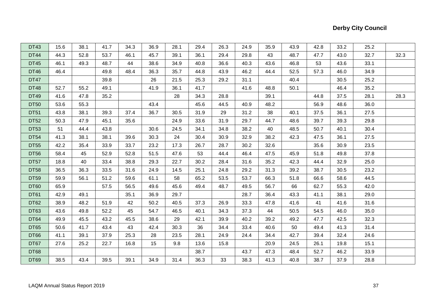| <b>DT43</b> | 15.6 | 38.1 | 41.7 | 34.3 | 36.9 | 28.1 | 29.4 | 26.3 | 24.9 | 35.9 | 43.9 | 42.8 | 33.2 | 25.2 |      |
|-------------|------|------|------|------|------|------|------|------|------|------|------|------|------|------|------|
| <b>DT44</b> | 44.3 | 52.8 | 53.7 | 46.1 | 45.7 | 39.1 | 36.1 | 29.4 | 29.8 | 43   | 48.7 | 47.7 | 43.0 | 32.7 | 32.3 |
| <b>DT45</b> | 46.1 | 49.3 | 48.7 | 44   | 38.6 | 34.9 | 40.8 | 36.6 | 40.3 | 43.6 | 46.8 | 53   | 43.6 | 33.1 |      |
| <b>DT46</b> | 46.4 |      | 49.8 | 48.4 | 36.3 | 35.7 | 44.8 | 43.9 | 46.2 | 44.4 | 52.5 | 57.3 | 46.0 | 34.9 |      |
| DT47        |      |      | 39.8 |      | 26   | 21.5 | 25.3 | 29.2 | 31.1 |      | 40.4 |      | 30.5 | 25.2 |      |
| <b>DT48</b> | 52.7 | 55.2 | 49.1 |      | 41.9 | 36.1 | 41.7 |      | 41.6 | 48.8 | 50.1 |      | 46.4 | 35.2 |      |
| DT49        | 41.6 | 47.8 | 35.2 |      |      | 28   | 34.3 | 28.8 |      | 39.1 |      | 44.8 | 37.5 | 28.1 | 28.3 |
| <b>DT50</b> | 53.6 | 55.3 |      |      | 43.4 |      | 45.6 | 44.5 | 40.9 | 48.2 |      | 56.9 | 48.6 | 36.0 |      |
| DT51        | 43.8 | 38.1 | 39.3 | 37.4 | 36.7 | 30.5 | 31.9 | 29   | 31.2 | 38   | 40.1 | 37.5 | 36.1 | 27.5 |      |
| <b>DT52</b> | 50.3 | 47.9 | 45.1 | 35.6 |      | 24.9 | 33.6 | 31.9 | 29.7 | 44.7 | 48.6 | 39.7 | 39.3 | 29.8 |      |
| <b>DT53</b> | 51   | 44.4 | 43.8 |      | 30.6 | 24.5 | 34.1 | 34.8 | 38.2 | 40   | 48.5 | 50.7 | 40.1 | 30.4 |      |
| <b>DT54</b> | 41.3 | 38.1 | 38.1 | 39.6 | 30.3 | 24   | 30.4 | 30.9 | 32.9 | 38.2 | 42.3 | 47.5 | 36.1 | 27.5 |      |
| <b>DT55</b> | 42.2 | 35.4 | 33.9 | 33.7 | 23.2 | 17.3 | 26.7 | 28.7 | 30.2 | 32.6 |      | 35.6 | 30.9 | 23.5 |      |
| <b>DT56</b> | 58.4 | 45   | 52.9 | 52.8 | 51.5 | 47.6 | 53   | 44.4 | 46.4 | 47.5 | 45.9 | 51.8 | 49.8 | 37.8 |      |
| DT57        | 18.8 | 40   | 33.4 | 38.8 | 29.3 | 22.7 | 30.2 | 28.4 | 31.6 | 35.2 | 42.3 | 44.4 | 32.9 | 25.0 |      |
| <b>DT58</b> | 36.5 | 36.3 | 33.5 | 31.6 | 24.9 | 14.5 | 25.1 | 24.8 | 29.2 | 31.3 | 39.2 | 38.7 | 30.5 | 23.2 |      |
| <b>DT59</b> | 59.9 | 56.1 | 51.2 | 59.6 | 61.1 | 58   | 65.2 | 53.5 | 53.7 | 66.3 | 51.8 | 66.6 | 58.6 | 44.5 |      |
| DT60        | 65.9 |      | 57.5 | 56.5 | 49.6 | 45.6 | 49.4 | 48.7 | 49.5 | 56.7 | 66   | 62.7 | 55.3 | 42.0 |      |
| <b>DT61</b> | 42.9 | 49.1 |      | 35.1 | 36.9 | 29.7 |      |      | 28.7 | 36.4 | 43.3 | 41.1 | 38.1 | 29.0 |      |
| DT62        | 38.9 | 48.2 | 51.9 | 42   | 50.2 | 40.5 | 37.3 | 26.9 | 33.3 | 47.8 | 41.6 | 41   | 41.6 | 31.6 |      |
| <b>DT63</b> | 43.6 | 49.8 | 52.2 | 45   | 54.7 | 46.5 | 40.1 | 34.3 | 37.3 | 44   | 50.5 | 54.5 | 46.0 | 35.0 |      |
| DT64        | 49.9 | 45.5 | 43.2 | 45.5 | 38.6 | 29   | 42.1 | 39.9 | 40.2 | 39.2 | 49.2 | 47.7 | 42.5 | 32.3 |      |
| <b>DT65</b> | 50.6 | 41.7 | 43.4 | 43   | 42.4 | 30.3 | 36   | 34.4 | 33.4 | 40.6 | 50   | 49.4 | 41.3 | 31.4 |      |
| DT66        | 41.1 | 39.1 | 37.9 | 25.3 | 28   | 23.5 | 28.1 | 24.9 | 24.4 | 34.4 | 42.7 | 39.4 | 32.4 | 24.6 |      |
| DT67        | 27.6 | 25.2 | 22.7 | 16.8 | 15   | 9.8  | 13.6 | 15.8 |      | 20.9 | 24.5 | 26.1 | 19.8 | 15.1 |      |
| DT68        |      |      |      |      |      |      | 38.7 |      | 43.7 | 47.3 | 48.4 | 52.7 | 46.2 | 33.9 |      |
| DT69        | 38.5 | 43.4 | 39.5 | 39.1 | 34.9 | 31.4 | 36.3 | 33   | 38.3 | 41.3 | 40.8 | 38.7 | 37.9 | 28.8 |      |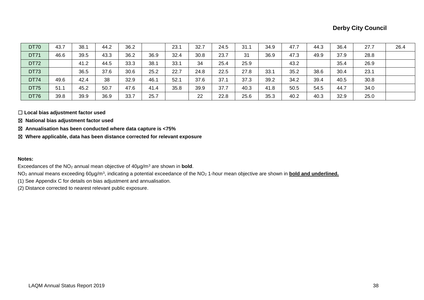| <b>DT70</b> | 43.7 | 38.1 | 44.2 | 36.2 |      | 23.1 | 32.7 | 24.5 | 31.1 | 34.9 | 47.7 | 44.3 | 36.4 | 27.7 | 26.4 |
|-------------|------|------|------|------|------|------|------|------|------|------|------|------|------|------|------|
| <b>DT71</b> | 46.6 | 39.5 | 43.3 | 36.2 | 36.9 | 32.4 | 30.8 | 23.7 | 31   | 36.9 | 47.3 | 49.9 | 37.9 | 28.8 |      |
| <b>DT72</b> |      | 41.2 | 44.5 | 33.3 | 38.1 | 33.1 | 34   | 25.4 | 25.9 |      | 43.2 |      | 35.4 | 26.9 |      |
| <b>DT73</b> |      | 36.5 | 37.6 | 30.6 | 25.2 | 22.7 | 24.8 | 22.5 | 27.8 | 33.1 | 35.2 | 38.6 | 30.4 | 23.1 |      |
| <b>DT74</b> | 49.6 | 42.4 | 38   | 32.9 | 46.1 | 52.1 | 37.6 | 37.1 | 37.3 | 39.2 | 34.2 | 39.4 | 40.5 | 30.8 |      |
| <b>DT75</b> | 51.1 | 45.2 | 50.7 | 47.6 | 41.4 | 35.8 | 39.9 | 37.7 | 40.3 | 41.8 | 50.5 | 54.5 | 44.7 | 34.0 |      |
| <b>DT76</b> | 39.8 | 39.9 | 36.9 | 33.7 | 25.7 |      | 22   | 22.8 | 25.6 | 35.3 | 40.2 | 40.3 | 32.9 | 25.0 |      |

☐ **Local bias adjustment factor used**

☒ **National bias adjustment factor used**

☒ **Annualisation has been conducted where data capture is <75%**

☒ **Where applicable, data has been distance corrected for relevant exposure** 

#### **Notes:**

Exceedances of the NO<sup>2</sup> annual mean objective of 40µg/m<sup>3</sup> are shown in **bold**.

NO<sub>2</sub> annual means exceeding 60µg/m<sup>3</sup>, indicating a potential exceedance of the NO<sub>2</sub> 1-hour mean objective are shown in *bold and underlined*.

(1) See Appendix C for details on bias adjustment and annualisation.

(2) Distance corrected to nearest relevant public exposure.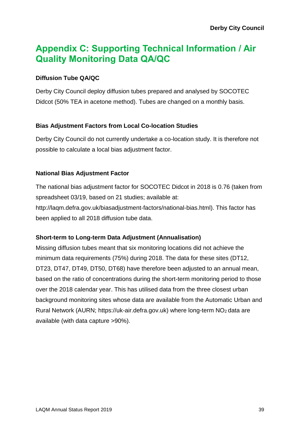## **Appendix C: Supporting Technical Information / Air Quality Monitoring Data QA/QC**

### **Diffusion Tube QA/QC**

Derby City Council deploy diffusion tubes prepared and analysed by SOCOTEC Didcot (50% TEA in acetone method). Tubes are changed on a monthly basis.

### **Bias Adjustment Factors from Local Co-location Studies**

Derby City Council do not currently undertake a co-location study. It is therefore not possible to calculate a local bias adjustment factor.

### **National Bias Adjustment Factor**

The national bias adjustment factor for SOCOTEC Didcot in 2018 is 0.76 (taken from spreadsheet 03/19, based on 21 studies; available at: http://laqm.defra.gov.uk/biasadjustment-factors/national-bias.html). This factor has been applied to all 2018 diffusion tube data.

### **Short-term to Long-term Data Adjustment (Annualisation)**

Missing diffusion tubes meant that six monitoring locations did not achieve the minimum data requirements (75%) during 2018. The data for these sites (DT12, DT23, DT47, DT49, DT50, DT68) have therefore been adjusted to an annual mean, based on the ratio of concentrations during the short-term monitoring period to those over the 2018 calendar year. This has utilised data from the three closest urban background monitoring sites whose data are available from the Automatic Urban and Rural Network (AURN; https://uk-air.defra.gov.uk) where long-term NO2 data are available (with data capture >90%).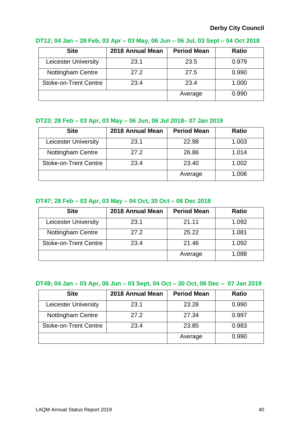| <b>Site</b>                  | 2018 Annual Mean | <b>Period Mean</b> | <b>Ratio</b> |
|------------------------------|------------------|--------------------|--------------|
| <b>Leicester University</b>  | 23.1             | 23.5               | 0.979        |
| <b>Nottingham Centre</b>     | 27.2             | 27.5               | 0.990        |
| <b>Stoke-on-Trent Centre</b> | 23.4             | 23.4               | 1.000        |
|                              |                  | Average            | 0.990        |

### **DT12; 04 Jan – 28 Feb, 03 Apr – 03 May, 06 Jun – 06 Jul, 03 Sept – 04 Oct 2018**

### **DT23; 28 Feb – 03 Apr, 03 May – 06 Jun, 06 Jul 2018– 07 Jan 2019**

| <b>Site</b>                 | 2018 Annual Mean | <b>Period Mean</b> | <b>Ratio</b> |
|-----------------------------|------------------|--------------------|--------------|
| <b>Leicester University</b> | 23.1             | 22.98              | 1.003        |
| <b>Nottingham Centre</b>    | 27.2             | 26.86              | 1.014        |
| Stoke-on-Trent Centre       | 23.4             | 23.40              | 1.002        |
|                             |                  | Average            | 1.006        |

### **DT47; 28 Feb – 03 Apr, 03 May – 04 Oct, 30 Oct – 06 Dec 2018**

| <b>Site</b>                  | 2018 Annual Mean | <b>Period Mean</b> | <b>Ratio</b> |
|------------------------------|------------------|--------------------|--------------|
| <b>Leicester University</b>  | 23.1             | 21.11              | 1.092        |
| <b>Nottingham Centre</b>     | 27.2             | 25.22              | 1.081        |
| <b>Stoke-on-Trent Centre</b> | 23.4             | 21.46              | 1.092        |
|                              |                  | Average            | 1.088        |

### **DT49; 04 Jan – 03 Apr, 06 Jun – 03 Sept, 04 Oct – 30 Oct, 06 Dec – 07 Jan 2019**

| <b>Site</b>                  | 2018 Annual Mean | <b>Period Mean</b> | <b>Ratio</b> |
|------------------------------|------------------|--------------------|--------------|
| <b>Leicester University</b>  | 23.1             | 23.28              | 0.990        |
| Nottingham Centre            | 27.2             | 27.34              | 0.997        |
| <b>Stoke-on-Trent Centre</b> | 23.4             | 23.85              | 0.983        |
|                              |                  | Average            | 0.990        |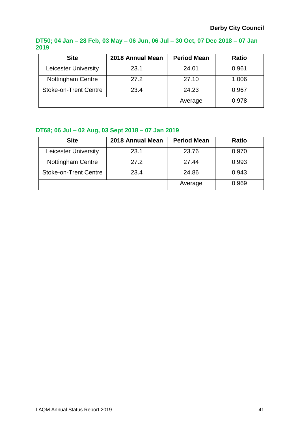### **DT50; 04 Jan – 28 Feb, 03 May – 06 Jun, 06 Jul – 30 Oct, 07 Dec 2018 – 07 Jan 2019**

| <b>Site</b>                  | 2018 Annual Mean | <b>Period Mean</b> | <b>Ratio</b> |
|------------------------------|------------------|--------------------|--------------|
| <b>Leicester University</b>  | 23.1             | 24.01              | 0.961        |
| Nottingham Centre            | 27.2             | 27.10              | 1.006        |
| <b>Stoke-on-Trent Centre</b> | 23.4             | 24.23              | 0.967        |
|                              |                  | Average            | 0.978        |

### **DT68; 06 Jul – 02 Aug, 03 Sept 2018 – 07 Jan 2019**

| <b>Site</b>                  | 2018 Annual Mean | <b>Period Mean</b> | <b>Ratio</b> |
|------------------------------|------------------|--------------------|--------------|
| <b>Leicester University</b>  | 23.1             | 23.76              | 0.970        |
| <b>Nottingham Centre</b>     | 27.2             | 27.44              | 0.993        |
| <b>Stoke-on-Trent Centre</b> | 23.4             | 24.86              | 0.943        |
|                              |                  | Average            | 0.969        |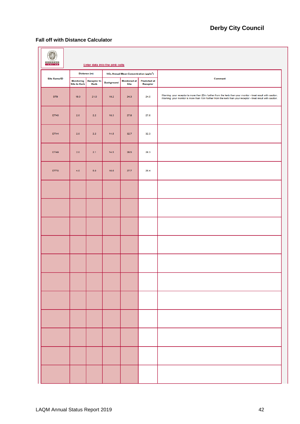#### **Fall off with Distance Calculator**

<span id="page-50-0"></span>

| <b>BUREAU</b><br>VERITAS |                                          |                                   | Enter data into the pink cells |                                                                |                                 |                                                                                                                                                                                                                              |
|--------------------------|------------------------------------------|-----------------------------------|--------------------------------|----------------------------------------------------------------|---------------------------------|------------------------------------------------------------------------------------------------------------------------------------------------------------------------------------------------------------------------------|
| <b>Site Name/ID</b>      |                                          | Distance (m)                      |                                | NO <sub>2</sub> Annual Mean Concentration (µg/m <sup>3</sup> ) |                                 | Comment                                                                                                                                                                                                                      |
|                          | <b>Monitoring</b><br><b>Site to Kerb</b> | <b>Receptor to</b><br><b>Kerb</b> | <b>Background</b>              | <b>Monitored at</b><br><b>Site</b>                             | <b>Predicted at</b><br>Receptor |                                                                                                                                                                                                                              |
| DT9                      | 19.0                                     | 21.0                              | 19.2                           | 24.3                                                           | 24.0                            | Warning: your receptor is more than 20m further from the kerb than your monitor - treat result with caution.<br>Warning: your monitor is more than 10m further from the kerb than your receptor - treat result with caution. |
| <b>DT40</b>              | $2.0\,$                                  | $2.2\,$                           | 18.3                           | 27.8                                                           | 27.6                            |                                                                                                                                                                                                                              |
| <b>DT44</b>              | 2.0                                      | $2.2\,$                           | 14.5                           | 32.7                                                           | 32.3                            |                                                                                                                                                                                                                              |
| DT49                     | $2.0\,$                                  | 2.1                               | 14.5                           | 28.5                                                           | 28.3                            |                                                                                                                                                                                                                              |
| <b>DT70</b>              | 4.0                                      | 6.0                               | 16.6                           | 27.7                                                           | 26.4                            |                                                                                                                                                                                                                              |
|                          |                                          |                                   |                                |                                                                |                                 |                                                                                                                                                                                                                              |
|                          |                                          |                                   |                                |                                                                |                                 |                                                                                                                                                                                                                              |
|                          |                                          |                                   |                                |                                                                |                                 |                                                                                                                                                                                                                              |
|                          |                                          |                                   |                                |                                                                |                                 |                                                                                                                                                                                                                              |
|                          |                                          |                                   |                                |                                                                |                                 |                                                                                                                                                                                                                              |
|                          |                                          |                                   |                                |                                                                |                                 |                                                                                                                                                                                                                              |
|                          |                                          |                                   |                                |                                                                |                                 |                                                                                                                                                                                                                              |
|                          |                                          |                                   |                                |                                                                |                                 |                                                                                                                                                                                                                              |
|                          |                                          |                                   |                                |                                                                |                                 |                                                                                                                                                                                                                              |
|                          |                                          |                                   |                                |                                                                |                                 |                                                                                                                                                                                                                              |
|                          |                                          |                                   |                                |                                                                |                                 |                                                                                                                                                                                                                              |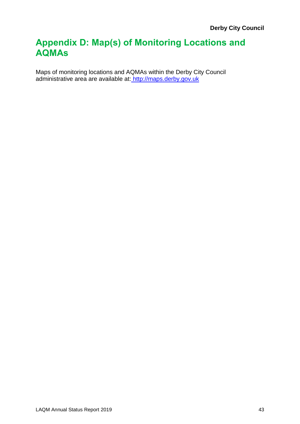## **Appendix D: Map(s) of Monitoring Locations and AQMAs**

Maps of monitoring locations and AQMAs within the Derby City Council administrative area are available at: [http://maps.derby.gov.uk](http://maps.derby.gov.uk/)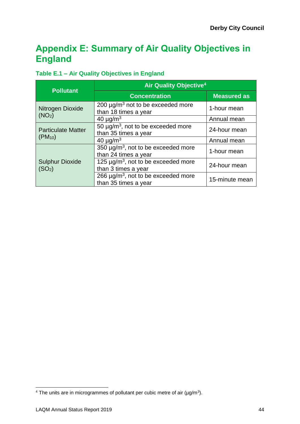## <span id="page-52-1"></span>**Appendix E: Summary of Air Quality Objectives in England**

### <span id="page-52-0"></span>**Table E.1 – Air Quality Objectives in England**

| <b>Pollutant</b>                             | <b>Air Quality Objective<sup>4</sup></b>                                     |                    |  |  |  |  |  |
|----------------------------------------------|------------------------------------------------------------------------------|--------------------|--|--|--|--|--|
|                                              | <b>Concentration</b>                                                         | <b>Measured as</b> |  |  |  |  |  |
| Nitrogen Dioxide                             | 200 $\mu$ g/m <sup>3</sup> not to be exceeded more<br>than 18 times a year   | 1-hour mean        |  |  |  |  |  |
| (NO <sub>2</sub> )                           | 40 $\mu$ g/m <sup>3</sup>                                                    | Annual mean        |  |  |  |  |  |
| <b>Particulate Matter</b>                    | 50 $\mu$ g/m <sup>3</sup> , not to be exceeded more<br>than 35 times a year  | 24-hour mean       |  |  |  |  |  |
| $(PM_{10})$                                  | 40 $\mu$ g/m <sup>3</sup>                                                    | Annual mean        |  |  |  |  |  |
|                                              | 350 $\mu$ g/m <sup>3</sup> , not to be exceeded more<br>than 24 times a year | 1-hour mean        |  |  |  |  |  |
| <b>Sulphur Dioxide</b><br>(SO <sub>2</sub> ) | 125 $\mu$ g/m <sup>3</sup> , not to be exceeded more<br>than 3 times a year  | 24-hour mean       |  |  |  |  |  |
|                                              | 266 $\mu$ g/m <sup>3</sup> , not to be exceeded more<br>than 35 times a year | 15-minute mean     |  |  |  |  |  |

l

<sup>&</sup>lt;sup>4</sup> The units are in microgrammes of pollutant per cubic metre of air ( $\mu$ g/m<sup>3</sup>).